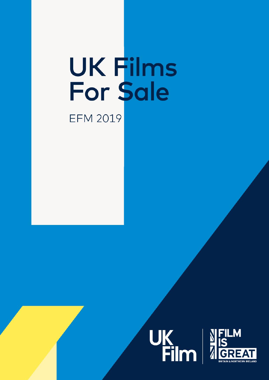# UK Films<br>For Sale **EFM 2019**



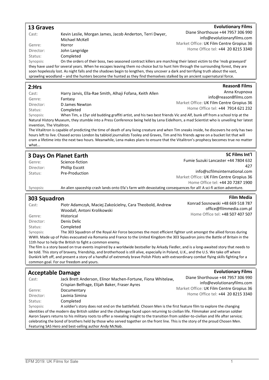#### 13 Graves Cast: Kevin Leslie, Morgan James, Jacob Anderton, Terri Dwyer, Michael McKell Genre: Horror Director: John Langridge Status: Completed **Evolutionary Films** Diane Shorthouse +44 7957 306 990 info@evolutionaryfilms.com Market Office: UK Film Centre Gropius 36 Home Office tel: +44 20 8215 3340 Synopsis: On the orders of their boss, two seasoned contract killers are marching their latest victim to the 'mob graveyard' they have used for several years. When he escapes leaving them no choice but to hunt him through the surrounding forest, they are soon hopelessly lost. As night falls and the shadows begin to lengthen, they uncover a dark and terrifying truth about the vast, sprawling woodland – and the hunters become the hunted as they find themselves stalked by an ancient supernatural force. 2:Hrs

#### **Reason8 Films**

SC Films Int'l

**Film Media** 

| Cast:     | Harry Jarvis, Ella-Rae Smith, Alhaji Fofana, Keith Allen                                                                              | Anna Krupnova                            |
|-----------|---------------------------------------------------------------------------------------------------------------------------------------|------------------------------------------|
| Genre:    | Fantasv                                                                                                                               | info@reason8films.com                    |
| Director: | D James Newton                                                                                                                        | Market Office: UK Film Centre Gropius 36 |
| Status:   | Completed                                                                                                                             | Home Office tel: +44 7914 621 232        |
| Synopsis: | When Tim, a 15yr old budding graffiti artist, and his two best friends Vic and Alf, bunk off from a school trip at the                |                                          |
|           | Netural Uictory Museum thou stumble into a Dress Conference boing held bu Lang Fidelborn, a med Ceientist who is unuailing her lotest |                                          |

Natural History Museum, they stumble into a Press Conference being held by Lena Eidelhorn, a mad Scientist who is unveiling her latest invention, The Vitalitron.

The Vitalitron is capable of predicting the time of death of any living creature and when Tim sneaks inside, he discovers he only has two hours left to live. Chased across London by tabloid journalists Tooley and Graves, Tim and his friends agree on a bucket list that will cram a lifetime into the next two hours. Meanwhile, Lena makes plans to ensure that the Vitalitron's prophecy becomes true no matter what

#### 3 Days On Planet Earth

| Genre:    | Science-fiction       | Fumie Suzuki Lancaster +44 7804 632                                                                              |
|-----------|-----------------------|------------------------------------------------------------------------------------------------------------------|
| Director: | <b>Phillip Escott</b> | 427                                                                                                              |
| Status:   | Pre-Production        | info@scfilmsinternational.com                                                                                    |
|           |                       | Market Office: UK Film Centre Gropius 36                                                                         |
|           |                       | Home Office tel: +44 20 7287 1900                                                                                |
| Synopsis: |                       | An alien spaceship crash lands onto Efa's farm with devastating consequences for all! A sci-fi action adventure. |

#### 303 Squadron

| Cast:     | Piotr Adamczyk, Maciej Zakościelny, Cara Theobold, Andrew<br>Woodall, Antoni Krolikowski                                                  | Konrad Sosnowski +48 669 518 787<br>office@filmmedia.com.pl |
|-----------|-------------------------------------------------------------------------------------------------------------------------------------------|-------------------------------------------------------------|
| Genre:    | Historical                                                                                                                                | Home Office tel: +48 507 407 507                            |
| Director: | Denis Delic                                                                                                                               |                                                             |
| Status:   | Completed                                                                                                                                 |                                                             |
| Synopsis: | The 303 Squadron of the Royal Air Force becomes the most efficient fighter unit amongst the allied forces during                          |                                                             |
|           | WWII. Made up of Poles evacuated via Romania and France to the United Kingdom the 303 Squadron joins the Battle of Britain in the         |                                                             |
|           | 11th hour to help the British to fight a common enemy.                                                                                    |                                                             |
|           | The film is a stample color and constructional book original other heater limits and in the later and international stamp that we added a |                                                             |

The film is a story based on true events inspired by a worldwide bestseller by Arkady Fiedler, and is a long-awaited story that needs to be told. This story of bravery, friendship, and brotherhood is still alive, especially in Poland, U.K., and the U.S. We take off where Dunkirk left off, and present a story of a handful of extremely brave Polish Pilots with extraordinary combat flying skills fighting for a common goal. For our freedom and yours.

| <b>Acceptable Damage</b> |                                                                                                                                            | <b>Evolutionary Films</b>                |
|--------------------------|--------------------------------------------------------------------------------------------------------------------------------------------|------------------------------------------|
| Cast:                    | Jack Brett Anderson, Elinor Machen-Fortune, Fiona Whitelaw,                                                                                | Diane Shorthouse +44 7957 306 990        |
|                          | Crispian Belfrage, Elijah Baker, Fraser Ayres                                                                                              | info@evolutionaryfilms.com               |
| Genre:                   | Documentary                                                                                                                                | Market Office: UK Film Centre Gropius 36 |
| Director:                | Lavinia Simina                                                                                                                             | Home Office tel: +44 20 8215 3340        |
| Status:                  | Completed                                                                                                                                  |                                          |
| Synopsis:                | A soldier's story does not end on the battlefield. Chosen Men is the first feature film to explore the changing                            |                                          |
|                          | identities of the modern day British soldier and the challenges faced upon returning to civilian life. Filmmaker and veteran soldier       |                                          |
|                          | Aaron Sayers returns to his military roots to offer a revealing insight to the transition from soldier-to-civilian and life after service; |                                          |
|                          | celebrating the bond of brothers held by those who served together on the front line. This is the story of the proud Chosen Men.           |                                          |
|                          | Featuring SAS Hero and best-selling author Andy McNab.                                                                                     |                                          |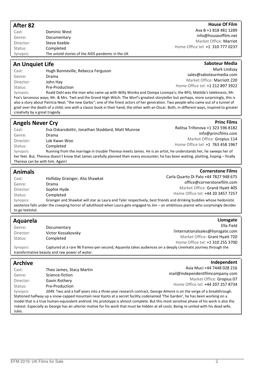| After 82                       |                                                                                                                                                                                                                                                                                                                                                                                                                                   | <b>House Of Film</b>                                                |
|--------------------------------|-----------------------------------------------------------------------------------------------------------------------------------------------------------------------------------------------------------------------------------------------------------------------------------------------------------------------------------------------------------------------------------------------------------------------------------|---------------------------------------------------------------------|
| Cast:                          | Dominic West                                                                                                                                                                                                                                                                                                                                                                                                                      | Ava B +1 818 481 1289                                               |
| Genre:                         | Documentary                                                                                                                                                                                                                                                                                                                                                                                                                       | info@houseoffilm.net                                                |
| Director:                      | Steve Keeble                                                                                                                                                                                                                                                                                                                                                                                                                      | Market Office: Marriot                                              |
| Status:                        | Completed                                                                                                                                                                                                                                                                                                                                                                                                                         | Home Office tel: +1 310 777 0237                                    |
| Synopsis:                      | The untold stories of the AIDS pandemic in the UK                                                                                                                                                                                                                                                                                                                                                                                 |                                                                     |
| <b>An Unquiet Life</b>         |                                                                                                                                                                                                                                                                                                                                                                                                                                   | <b>Saboteur Media</b>                                               |
| Cast:                          | Hugh Bonneville, Rebecca Ferguson                                                                                                                                                                                                                                                                                                                                                                                                 | Mark Lindsay                                                        |
| Genre:                         | Drama                                                                                                                                                                                                                                                                                                                                                                                                                             | sales@saboteurmedia.com                                             |
| Director:                      | John Hay                                                                                                                                                                                                                                                                                                                                                                                                                          | Market Office: Marriott 220                                         |
| Status:                        | Pre-Production                                                                                                                                                                                                                                                                                                                                                                                                                    | Home Office tel: +1 212 897 3922                                    |
| Synopsis:                      | Roald Dahl was the man who came up with Willy Wonka and Oompa Loompa's; the BFG; Matilda's telekinesis; Mr.                                                                                                                                                                                                                                                                                                                       |                                                                     |
| creativity by a great tragedy. | Fox's larcenous ways; Mr. & Mrs. Twit and the Grand High Witch. The Worl's greatest storyteller but perhaps, more surprisingly, this is<br>also a story about Patricia Neal; "the new Garbo"; one of the finest actors of her generation. Two people who came out of a tunnel of<br>grief over the death of a child; one with a classic book in their hand; the other with an Oscar. Both, in different ways, inspired to greater |                                                                     |
| <b>Angels Never Cry</b>        |                                                                                                                                                                                                                                                                                                                                                                                                                                   | <b>Princ Films</b>                                                  |
| Cast:                          | Eva Oskarsdottir, Jonathan Stoddard, Matt Munroe                                                                                                                                                                                                                                                                                                                                                                                  | Ralitsa Trifonova +1 323 596 8182                                   |
| Genre:                         | Drama                                                                                                                                                                                                                                                                                                                                                                                                                             | info@princfilms.com                                                 |
| Director:                      | Lok Kwan Woo                                                                                                                                                                                                                                                                                                                                                                                                                      | Market Office: Gropius 114                                          |
| Status:                        | Completed                                                                                                                                                                                                                                                                                                                                                                                                                         | Home Office tel: +1 763 458 1967                                    |
| Synopsis:                      | Running from the marriage in trouble Theresa meets James. He is an artist, he understands her, he sweeps her of                                                                                                                                                                                                                                                                                                                   |                                                                     |
|                                | her feet. But, Theresa doesn't know that James carefully planned their every encounter; he has been waiting, plotting, hoping - finally                                                                                                                                                                                                                                                                                           |                                                                     |
|                                | Theresa can be with him. Again!                                                                                                                                                                                                                                                                                                                                                                                                   |                                                                     |
| <b>Animals</b>                 |                                                                                                                                                                                                                                                                                                                                                                                                                                   | <b>Cornerstone Films</b>                                            |
| Cast:                          | Holliday Grainger, Alia Shawkat                                                                                                                                                                                                                                                                                                                                                                                                   | Carla Quarto Di Palo +44 7827 948 675                               |
| Genre:                         | Drama                                                                                                                                                                                                                                                                                                                                                                                                                             | office@cornerstonefilm.com                                          |
| Director:                      | Sophie Hyde                                                                                                                                                                                                                                                                                                                                                                                                                       | Market Office: Grand Hyatt 405                                      |
| Status:                        | Completed                                                                                                                                                                                                                                                                                                                                                                                                                         | Home Office tel: +44 20 3457 7257                                   |
| Synopsis:                      | Grainger and Shawkat will star as Laura and Tyler respectively, best friends and drinking buddies whose hedonistic                                                                                                                                                                                                                                                                                                                |                                                                     |
|                                | existence falls under the creeping horror of adulthood when Laura gets engaged to Jim - an ambitious pianist who surprisingly decides                                                                                                                                                                                                                                                                                             |                                                                     |
| to go teetotal.                |                                                                                                                                                                                                                                                                                                                                                                                                                                   |                                                                     |
| <b>Aquarela</b>                |                                                                                                                                                                                                                                                                                                                                                                                                                                   | Lionsgate                                                           |
| Genre:                         | Documentary                                                                                                                                                                                                                                                                                                                                                                                                                       | Ella Field                                                          |
| Director:                      | Victor Kossakovsky                                                                                                                                                                                                                                                                                                                                                                                                                | !internationalsales@lionsgate.com<br>Market Office: Grant Hyatt 720 |
| Status:                        | Completed                                                                                                                                                                                                                                                                                                                                                                                                                         | Home Office tel: +1 310 255 3700                                    |
| Synopsis:                      | Captured at a rare 96 frames-per-second, Aquarela takes audiences on a deeply cinematic journey through the<br>transformative beauty and raw power of water.                                                                                                                                                                                                                                                                      |                                                                     |
| <b>Archive</b>                 |                                                                                                                                                                                                                                                                                                                                                                                                                                   | Independent                                                         |
| Cast:                          |                                                                                                                                                                                                                                                                                                                                                                                                                                   | Asia Muci +44 7448 028 216                                          |
| Genre:                         | Theo James, Stacy Martin<br>Science-fiction                                                                                                                                                                                                                                                                                                                                                                                       | mail@independentfilmcompany.com                                     |
| Director:                      | Gavin Rothery                                                                                                                                                                                                                                                                                                                                                                                                                     | Market Office: Gropius 07                                           |
| Status:                        | Pre-Production                                                                                                                                                                                                                                                                                                                                                                                                                    | Home Office tel: +44 207 257 8734                                   |
| Synopsis:                      | 2049. Two and a half years into a three year research contract, George Almore is on the verge of a breakthrough.                                                                                                                                                                                                                                                                                                                  |                                                                     |
|                                | Stationed halfway up a snow-capped mountain near Kyoto at a secret facility codenamed 'The Garden', he has been working on a                                                                                                                                                                                                                                                                                                      |                                                                     |
|                                | model that is a true human-equivalent android. His prototype is almost complete. But this most sensitive phase of his work is also the                                                                                                                                                                                                                                                                                            |                                                                     |
|                                | riskiest. Especially as George has an ulterior motive for his work that must be hidden at all costs: Being re-united with his dead wife,                                                                                                                                                                                                                                                                                          |                                                                     |
| Jules.                         |                                                                                                                                                                                                                                                                                                                                                                                                                                   |                                                                     |
|                                |                                                                                                                                                                                                                                                                                                                                                                                                                                   |                                                                     |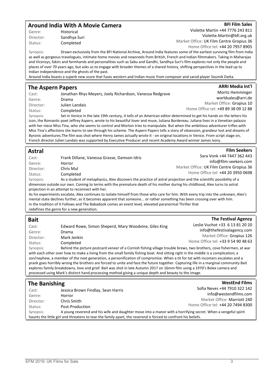#### Around India With A Movie Camera

Genre: Historical

Director: Sandhya Suri Status: Completed

Violette Martin +44 7776 243 811 Violette.Martin@bfi.org.uk Market Office: UK Film Centre Gropius 36 Home Office tel: +44 20 7957 8905

Synopsis: Drawn exclusively from the BFI National Archive, Around India features some of the earliest surviving film from India as well as gorgeous travelogues, intimate home movies and newsreels from British, French and Indian filmmakers. Taking in Maharajas and Viceroys, fakirs and farmhands and personalities such as Sabu and Gandhi, Sandhya Suri's film explores not only the people and places of over 70 years ago, but asks us to engage with broader themes of a shared history, shifting perspectives in the lead up to Indian independence and the ghosts of the past.

Around India boasts a superb new score that fuses western and Indian music from composer and sarod player Soumik Datta.

#### The Aspern Papers

| Cast:     | Jonathan Rhys Meyers, Joely Richardson, Vanessa Redgrave                                                              | Moritz Hemminger                    |
|-----------|-----------------------------------------------------------------------------------------------------------------------|-------------------------------------|
| Genre:    | Drama                                                                                                                 | worldsales@arri.de                  |
| Director: | Julien Landais                                                                                                        | Market Office: Gropius 10           |
| Status:   | Completed                                                                                                             | Home Office tel: +49 89 38 09 12 88 |
| Synopsis: | Set in Venice in the late 19th century, it tells of an American editor determined to get his hands on the letters his |                                     |

icon, the Romantic poet Jeffrey Aspern, wrote to his beautiful lover and muse, Juliana Bordereau. Juliana lives in a Venetian palazzo with her niece Miss Tina, who she seems to control and Morton tries to manipulate. But when the ambitious adventurer trifles with Miss Tina's affections she learns to see through his scheme. The Aspern Papers tells a story of obsession, grandeur lost and dreams of Byronic adventures.The film was shot where Henry James actually wrote it - on original locations in Venice. From script stage on, French director Julien Landais was supported by Executive Producer and recent Academy Award winner James Ivory.

#### Astral

| Cast:     | Frank Dillane, Vanessa Grasse, Damson Idris                                                                                          | Sara Vonk +44 7447 362 443               |
|-----------|--------------------------------------------------------------------------------------------------------------------------------------|------------------------------------------|
| Genre:    | Horror                                                                                                                               | info@film-seekers.com                    |
| Director: | Chris Mul                                                                                                                            | Market Office: UK Film Centre Gropius 36 |
| Status:   | Completed                                                                                                                            | Home Office tel: +44 20 3950 0698        |
| Synopsis: | As a student of metaphysics, Alex discovers the practice of astral projection and the scientific possibility of a                    |                                          |
|           | dimension outside our own. Coming to terms with the premature death of his mother during his childhood, Alex turns to astral         |                                          |
|           | projection in an attempt to reconnect with her.                                                                                      |                                          |
|           | As his experiments escalate, Alex continues to isolate himself from those who care for him. With every trip into the unknown, Alex's |                                          |

mental state declines further, as it becomes apparent that someone... or rather something has been crossing over with him. In the tradition of It Follows and The Babadook comes an event level, elevated paranormal Thriller that redefines the genre for a new generation.

#### Bait

| Cast:     | Edward Rowe, Simon Sheperd, Mary Woodvine, Giles King                                                                              | Leslie Vuchot +33 6 13 81 20 20    |
|-----------|------------------------------------------------------------------------------------------------------------------------------------|------------------------------------|
| Genre:    | Drama                                                                                                                              | info@thefestivalagency.com         |
| Director: | Mark Jenkin                                                                                                                        | Market Office: Gropius 126         |
| Status:   | Completed                                                                                                                          | Home Office tel: +33 9 54 90 48 63 |
| Synopsis: | Behind the picture postcard veneer of a Cornish fishing village trouble brews, two brothers, cove fishermen, at war                |                                    |
|           | with each other over how to make a living from the small family fishing boat. And sitting right in the middle is a complication; a |                                    |
|           | son/nephew, a member of the next generation, a personification of compromise. When a tit for tat with incomers escalates and a     |                                    |

son/nephew, a member of the next generation, a personification of compromise. When a tit for tat with incomers escalates and a prank goes horribly wrong the brothers are forced to unite and face the future together. Capturing life in a marginal community Bait explores family breakdowns, love and grief. Bait was shot in late Autumn 2017 on 16mm film using a 1970's Bolex camera and processed using Mark's distinct hand processing method giving a unique depth and beauty to the image.

#### The Banishing

| $\cdots$ but $\cdots$ |                                                                                                                |                                   |
|-----------------------|----------------------------------------------------------------------------------------------------------------|-----------------------------------|
| Cast:                 | Jessica Brown Findlay, Sean Harris                                                                             | Sofia Neves +44 7910 322 142      |
| Genre:                | Horror                                                                                                         | info@westendfilms.com             |
| Director:             | Chris Smith                                                                                                    | Market Office: Marriott 240       |
| Status:               | Post-Production                                                                                                | Home Office tel: +44 20 7494 8300 |
| Synopsis:             | A young reverend and his wife and daughter move into a manor with a horrifying secret. When a vengeful spirit  |                                   |
|                       | haunts the little girl and threatens to tear the family apart, the reverend is forced to confront his beliefs. |                                   |

#### **BFI Film Sales**

ARRI Media Int'l

**Film Seekers** 

The Festival Agency

**WestEnd Films**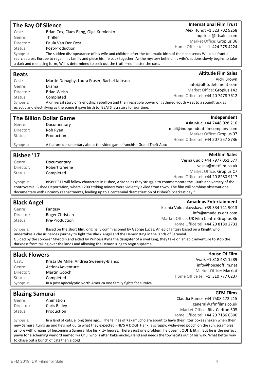| <b>The Bay Of Silence</b><br>Alex Hundt +1 323 702 9258<br>Brian Cox, Claes Bang, Olga Kurylenko<br>Cast:<br>inquiries@iftsales.com<br>Thriller<br>Genre:<br>Market Office: Gropius 36<br>Paula Van Der Oest<br>Director:<br>Home Office tel: +1 424 278 4224<br>Post-Production<br>Status:<br>The sudden disappearance of his wife and children after the traumatic birth of their son sends Will on a frantic<br>Synopsis:<br>search across Europe to regain his family and piece his life back together. As the mystery behind his wife's actions slowly begins to take<br>a dark and menacing form, Will is determined to seek out the truth-no matter the cost.<br><b>Altitude Film Sales</b><br><b>Beats</b><br>Vicki Brown<br>Cast:<br>Martin Donaghy, Laura Fraser, Rachel Jackson |  |
|--------------------------------------------------------------------------------------------------------------------------------------------------------------------------------------------------------------------------------------------------------------------------------------------------------------------------------------------------------------------------------------------------------------------------------------------------------------------------------------------------------------------------------------------------------------------------------------------------------------------------------------------------------------------------------------------------------------------------------------------------------------------------------------------|--|
|                                                                                                                                                                                                                                                                                                                                                                                                                                                                                                                                                                                                                                                                                                                                                                                            |  |
|                                                                                                                                                                                                                                                                                                                                                                                                                                                                                                                                                                                                                                                                                                                                                                                            |  |
|                                                                                                                                                                                                                                                                                                                                                                                                                                                                                                                                                                                                                                                                                                                                                                                            |  |
|                                                                                                                                                                                                                                                                                                                                                                                                                                                                                                                                                                                                                                                                                                                                                                                            |  |
|                                                                                                                                                                                                                                                                                                                                                                                                                                                                                                                                                                                                                                                                                                                                                                                            |  |
|                                                                                                                                                                                                                                                                                                                                                                                                                                                                                                                                                                                                                                                                                                                                                                                            |  |
|                                                                                                                                                                                                                                                                                                                                                                                                                                                                                                                                                                                                                                                                                                                                                                                            |  |
|                                                                                                                                                                                                                                                                                                                                                                                                                                                                                                                                                                                                                                                                                                                                                                                            |  |
|                                                                                                                                                                                                                                                                                                                                                                                                                                                                                                                                                                                                                                                                                                                                                                                            |  |
| info@altitudefilment.com<br>Genre:<br>Drama                                                                                                                                                                                                                                                                                                                                                                                                                                                                                                                                                                                                                                                                                                                                                |  |
| Market Office: Gropius 142<br><b>Brian Welsh</b><br>Director:                                                                                                                                                                                                                                                                                                                                                                                                                                                                                                                                                                                                                                                                                                                              |  |
| Home Office tel: +44 20 7478 7612<br>Status:<br>Completed                                                                                                                                                                                                                                                                                                                                                                                                                                                                                                                                                                                                                                                                                                                                  |  |
| A universal story of friendship, rebellion and the irresistible power of gathered youth - set to a soundtrack as<br>Synopsis:                                                                                                                                                                                                                                                                                                                                                                                                                                                                                                                                                                                                                                                              |  |
| eclectic and electrifying as the scene it gave birth to, BEATS is a story for our time.                                                                                                                                                                                                                                                                                                                                                                                                                                                                                                                                                                                                                                                                                                    |  |
| Independent                                                                                                                                                                                                                                                                                                                                                                                                                                                                                                                                                                                                                                                                                                                                                                                |  |
| <b>The Billion Dollar Game</b><br>Asia Muci +44 7448 028 216                                                                                                                                                                                                                                                                                                                                                                                                                                                                                                                                                                                                                                                                                                                               |  |
| Genre:<br>Documentary<br>mail@independentfilmcompany.com                                                                                                                                                                                                                                                                                                                                                                                                                                                                                                                                                                                                                                                                                                                                   |  |
| Rob Ryan<br>Director:<br>Market Office: Gropius 07                                                                                                                                                                                                                                                                                                                                                                                                                                                                                                                                                                                                                                                                                                                                         |  |
| Production<br>Status:<br>Home Office tel: +44 207 257 8736                                                                                                                                                                                                                                                                                                                                                                                                                                                                                                                                                                                                                                                                                                                                 |  |
| Synopsis:<br>A feature documentary about the video game franchise Grand Theft Auto                                                                                                                                                                                                                                                                                                                                                                                                                                                                                                                                                                                                                                                                                                         |  |
|                                                                                                                                                                                                                                                                                                                                                                                                                                                                                                                                                                                                                                                                                                                                                                                            |  |
| <b>Metfilm Sales</b><br><b>Bisbee '17</b>                                                                                                                                                                                                                                                                                                                                                                                                                                                                                                                                                                                                                                                                                                                                                  |  |
| Vesna Cudic +44 7977 051 577<br>Genre:<br>Documentary                                                                                                                                                                                                                                                                                                                                                                                                                                                                                                                                                                                                                                                                                                                                      |  |
| vesna@metfilm.co.uk<br><b>Robert Greene</b><br>Director:                                                                                                                                                                                                                                                                                                                                                                                                                                                                                                                                                                                                                                                                                                                                   |  |
| Market Office: Gropius C7<br>Completed<br>Status:<br>Home Office tel: +44 20 8280 9117                                                                                                                                                                                                                                                                                                                                                                                                                                                                                                                                                                                                                                                                                                     |  |
| BISBEE '17 will follow characters in Bisbee, Arizona as they struggle to commemorate the 100th anniversary of the<br>Synopsis:                                                                                                                                                                                                                                                                                                                                                                                                                                                                                                                                                                                                                                                             |  |
| controversial Bisbee Deportation, where 1200 striking miners were violently exiled from town. The film will combine observational                                                                                                                                                                                                                                                                                                                                                                                                                                                                                                                                                                                                                                                          |  |
| documentary with uncanny reenactments, leading up to a centennial dramatization of Bisbee's "darkest day."                                                                                                                                                                                                                                                                                                                                                                                                                                                                                                                                                                                                                                                                                 |  |
| <b>Amadeus Entertainment</b><br><b>Black Angel</b>                                                                                                                                                                                                                                                                                                                                                                                                                                                                                                                                                                                                                                                                                                                                         |  |
| Ksenia Volochkovskaya +39 334 741 9013<br>Genre:<br>Fantasy                                                                                                                                                                                                                                                                                                                                                                                                                                                                                                                                                                                                                                                                                                                                |  |
| info@amadeus-ent.com<br>Director:<br>Roger Christian                                                                                                                                                                                                                                                                                                                                                                                                                                                                                                                                                                                                                                                                                                                                       |  |
| Market Office: UK Film Centre Gropius 36<br>Pre-Production<br>Status:                                                                                                                                                                                                                                                                                                                                                                                                                                                                                                                                                                                                                                                                                                                      |  |
| Home Office tel: +44 20 8180 2731                                                                                                                                                                                                                                                                                                                                                                                                                                                                                                                                                                                                                                                                                                                                                          |  |
| Based on the short film, originally commissioned by George Lucas. An epic fantasy based on a Knight who<br>Synopsis:                                                                                                                                                                                                                                                                                                                                                                                                                                                                                                                                                                                                                                                                       |  |
| undertakes a classic heroes journey to fight the Black Angel and the Demon King in the lands of Serandal.                                                                                                                                                                                                                                                                                                                                                                                                                                                                                                                                                                                                                                                                                  |  |
| Guided by the sorcerer Myrddin and aided by Princess Kyna the daughter of a rival King, they take on an epic adventure to stop the<br>darkness from taking over the lands and allowing the Demon King to reign supreme.                                                                                                                                                                                                                                                                                                                                                                                                                                                                                                                                                                    |  |
|                                                                                                                                                                                                                                                                                                                                                                                                                                                                                                                                                                                                                                                                                                                                                                                            |  |
| <b>House Of Film</b><br><b>Black Flowers</b>                                                                                                                                                                                                                                                                                                                                                                                                                                                                                                                                                                                                                                                                                                                                               |  |
| Ava B +1 818 481 1289<br>Cast:<br>Krista De Mille, Andrea Sweeney-Blanco                                                                                                                                                                                                                                                                                                                                                                                                                                                                                                                                                                                                                                                                                                                   |  |
|                                                                                                                                                                                                                                                                                                                                                                                                                                                                                                                                                                                                                                                                                                                                                                                            |  |
| info@houseoffilm.net<br>Genre:                                                                                                                                                                                                                                                                                                                                                                                                                                                                                                                                                                                                                                                                                                                                                             |  |
| Action/Adventure<br>Market Office: Marriot<br>Martin Gooch<br>Director:                                                                                                                                                                                                                                                                                                                                                                                                                                                                                                                                                                                                                                                                                                                    |  |
| Home Office tel: +1 310 777 0237<br>Status:<br>Completed                                                                                                                                                                                                                                                                                                                                                                                                                                                                                                                                                                                                                                                                                                                                   |  |
| In a post apocalyptic North America one family fights for survival.<br>Synopsis:                                                                                                                                                                                                                                                                                                                                                                                                                                                                                                                                                                                                                                                                                                           |  |
|                                                                                                                                                                                                                                                                                                                                                                                                                                                                                                                                                                                                                                                                                                                                                                                            |  |
| <b>GFM Films</b><br><b>Blazing Samurai</b>                                                                                                                                                                                                                                                                                                                                                                                                                                                                                                                                                                                                                                                                                                                                                 |  |
| Claudia Ramos +44 7508 172 215<br>Genre:<br>Animation                                                                                                                                                                                                                                                                                                                                                                                                                                                                                                                                                                                                                                                                                                                                      |  |
| general@gfmfilms.co.uk<br>Chris Bailey<br>Director:                                                                                                                                                                                                                                                                                                                                                                                                                                                                                                                                                                                                                                                                                                                                        |  |
| Market Office: Ritz-Carlton 505<br>Production<br>Status:                                                                                                                                                                                                                                                                                                                                                                                                                                                                                                                                                                                                                                                                                                                                   |  |
| Home Office tel: +44 20 7186 6300                                                                                                                                                                                                                                                                                                                                                                                                                                                                                                                                                                                                                                                                                                                                                          |  |
| In a land of cats, a long time ago The felines of Kakamucho are about to have their litter boxes shaken when their<br>Synopsis:                                                                                                                                                                                                                                                                                                                                                                                                                                                                                                                                                                                                                                                            |  |
| new Samurai turns up and he's not quite what they expected - HE'S A DOG! Hank, a scrappy, wide-eyed pooch on the run, scrambles<br>ashore with dreams of becoming a Samurai like his kitty heores. There's just one problem; he doesn't QUITE fit in. But he is the perfect                                                                                                                                                                                                                                                                                                                                                                                                                                                                                                                |  |
| pawn for a scheming warlord named Ika Chu, who is after Kakamucho;s land and needs the townscats out of his way. What better way<br>to chase out a bunch of cats than a dog!                                                                                                                                                                                                                                                                                                                                                                                                                                                                                                                                                                                                               |  |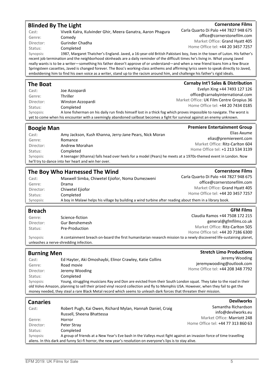#### Blinded By The Light

**Cornerstone Films** 

**Cornerstone Films** 

Genre: Comedy Director: Gurinder Chadha

Status: Completed

Cast: Viveik Kalra, Kulvinder Ghir, Meera Ganatra, Aaron Phagura

Carla Quarto Di Palo +44 7827 948 675 office@cornerstonefilm.com Market Office: Grand Hyatt 405 Home Office tel: +44 20 3457 7257

Synopsis: 1987, Margaret Thatcher's England. Javed, a 16-year-old British Pakistani boy, lives in the town of Luton. His father's recent job termination and the neighborhood skinheads are a daily reminder of the difficult times he's living in. What young Javed really wants is to be a writer—something his father doesn't approve of or understand—and when a new friend loans him a few Bruce Springsteen cassettes, Javed is changed forever. The Boss's working-class anthems and affirming lyrics seem to speak directly to Javed, emboldening him to find his own voice as a writer, stand up to the racism around him, and challenge his father's rigid ideals.

| <b>The Boat</b> |                   | <b>Carnaby Int'l Sales &amp; Distribution</b>                                                                             |
|-----------------|-------------------|---------------------------------------------------------------------------------------------------------------------------|
| Cast:           | Joe Azzopardi     | Evelyn Xing +44 7493 127 126                                                                                              |
| Genre:          | <b>Thriller</b>   | office@carnabyinternational.com                                                                                           |
| Director:       | Winston Azzopardi | Market Office: UK Film Centre Gropius 36                                                                                  |
| Status:         | Completed         | Home Office tel: +44 20 7434 0185                                                                                         |
| Synopsis:       |                   | A lone fisherman on his daily run finds himself lost in a thick fog which proves impossible to navigate. The worst is     |
|                 |                   | yet to come when his encounter with a seemingly abandoned sailboat becomes a fight for survival against an enemy unknown. |
|                 |                   |                                                                                                                           |

| <b>Boogie Man</b> |                                                                                                               | <b>Premiere Entertainment Group</b> |
|-------------------|---------------------------------------------------------------------------------------------------------------|-------------------------------------|
| Cast:             | Amy Jackson, Kush Khanna, Jerry-Jane Pears, Nick Moran                                                        | Elias Axume                         |
| Genre:            | Romance                                                                                                       | elias@premiereent.com               |
| Director:         | Andrew Morahan                                                                                                | Market Office: Ritz-Carlton 604     |
| Status:           | Completed                                                                                                     | Home Office tel: +1 213 534 3139    |
| Synopsis:         | A teenager (Khanna) falls head over heels for a model (Pears) he meets at a 1970s-themed event in London. Now |                                     |
|                   | he'll try to dance into her heart and win her over.                                                           |                                     |

## The Boy Who Harnessed The Wind

| Cast:     | Maxwell Simba, Chiwetel Ejiofor, Noma Dumezweni                                                          | Carla Quarto Di Palo +44 7827 948 675 |
|-----------|----------------------------------------------------------------------------------------------------------|---------------------------------------|
| Genre:    | Drama                                                                                                    | office@cornerstonefilm.com            |
| Director: | Chiwetel Ejiofor                                                                                         | Market Office: Grand Hyatt 405        |
| Status:   | Completed                                                                                                | Home Office tel: +44 20 3457 7257     |
| Synopsis: | A boy in Malawi helps his village by building a wind turbine after reading about them in a library book. |                                       |

#### Breach

| <b>Breach</b> |                 | <b>GFM Films</b>                                                                                                    |
|---------------|-----------------|---------------------------------------------------------------------------------------------------------------------|
| Genre:        | Science-fiction | Claudia Ramos +44 7508 172 215                                                                                      |
| Director:     | Gur Benshemesh  | general@gfmfilms.co.uk                                                                                              |
| Status:       | Pre-Production  | Market Office: Ritz-Carlton 505                                                                                     |
|               |                 | Home Office tel: +44 20 7186 6300                                                                                   |
| Synopsis:     |                 | A containment breach on-board the first humanitarian research mission to a newly discovered life-sustaining planet, |

unleashes a nerve-shredding infection.

| <b>Burning Men</b>           |                                                                                                                                                                                                                                                                                                                                                                                            | <b>Stretch Limo Productions</b>                                                  |
|------------------------------|--------------------------------------------------------------------------------------------------------------------------------------------------------------------------------------------------------------------------------------------------------------------------------------------------------------------------------------------------------------------------------------------|----------------------------------------------------------------------------------|
| Cast:<br>Genre:<br>Director: | Ed Hayter, Aki Omoshaybi, Elinor Crawley, Katie Collins<br>Road movie<br>Jeremy Wooding                                                                                                                                                                                                                                                                                                    | Jeremy Wooding<br>jeremywooding@outlook.com<br>Home Office tel: +44 208 348 7792 |
| Status:<br>Synopsis:         | Completed<br>Young, struggling musicians Ray and Don are evicted from their South London squat. They take to the road in their<br>old Volvo Amazon, planning to sell their prized vinyl record collection and fly to Memphis USA. However, when they fail to get the<br>money needed, they steal a rare Black Metal record which seems to unleash dark forces that threaten their mission. |                                                                                  |
| <b>Canaries</b>              |                                                                                                                                                                                                                                                                                                                                                                                            | <b>Devilworks</b>                                                                |

| -------<br>Cast:                                                                                             | Robert Pugh, Kai Owen, Richard Mylan, Hannah Daniel, Craig<br>Russell, Sheena Bhattessa                            | Samantha Richardson<br>info@devilworks.eu |
|--------------------------------------------------------------------------------------------------------------|--------------------------------------------------------------------------------------------------------------------|-------------------------------------------|
| Genre:                                                                                                       | Horror                                                                                                             | Market Office: Marriott 248               |
| Director:                                                                                                    | Peter Stray                                                                                                        | Home Office tel: +44 77 313 860 63        |
| Status:                                                                                                      | Completed                                                                                                          |                                           |
| Synopsis:                                                                                                    | A group of friends at a New Year's Eve bash in the Valleys must fight against an invasion force of time travelling |                                           |
| aliens. In this dark and funny Sci-fi horror, the new year's resolution on everyone's lips is to stay alive. |                                                                                                                    |                                           |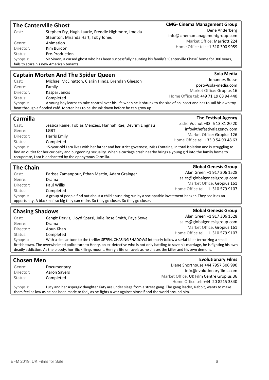| <b>The Canterville Ghost</b> |                                                                                                                                                                                                                                                              | <b>CMG- Cinema Management Group</b>                            |
|------------------------------|--------------------------------------------------------------------------------------------------------------------------------------------------------------------------------------------------------------------------------------------------------------|----------------------------------------------------------------|
| Cast:                        | Stephen Fry, Hugh Laurie, Freddie Highmore, Imelda                                                                                                                                                                                                           | Dene Anderberg                                                 |
|                              | Staunton, Miranda Hart, Toby Jones                                                                                                                                                                                                                           | info@cinemamanagementgroup.com                                 |
| Genre:                       | Animation                                                                                                                                                                                                                                                    | Market Office: Marriott 224                                    |
| Director:                    | Kim Burdon                                                                                                                                                                                                                                                   | Home Office tel: +1 310 300 9959                               |
| Status:                      | Pre-Production                                                                                                                                                                                                                                               |                                                                |
| Synopsis:                    | Sir Simon, a cursed ghost who has been successfully haunting his family's 'Canterville Chase' home for 300 years,                                                                                                                                            |                                                                |
|                              | fails to scare his new American tenants.                                                                                                                                                                                                                     |                                                                |
|                              | <b>Captain Morten And The Spider Queen</b>                                                                                                                                                                                                                   | Sola Media                                                     |
| Cast:                        | Michael McElhatton, Ciarán Hinds, Brendan Gleeson                                                                                                                                                                                                            | Johannes Busse                                                 |
| Genre:                       | Family                                                                                                                                                                                                                                                       | post@sola-media.com                                            |
| Director:                    | Kaspar Jancis                                                                                                                                                                                                                                                | Market Office: Gropius 16                                      |
| Status:                      | Completed                                                                                                                                                                                                                                                    | Home Office tel: +49 71 19 68 94 440                           |
| Synopsis:                    | A young boy learns to take control over his life when he is shrunk to the size of an insect and has to sail his own toy                                                                                                                                      |                                                                |
|                              | boat through a flooded café. Morten has to be shrunk down before he can grow up.                                                                                                                                                                             |                                                                |
| Carmilla                     |                                                                                                                                                                                                                                                              | <b>The Festival Agency</b>                                     |
| Cast:                        | Jessica Raine, Tobias Menzies, Hannah Rae, Devrim Lingnau                                                                                                                                                                                                    | Leslie Vuchot +33 6 13 81 20 20                                |
| Genre:                       | <b>LGBT</b>                                                                                                                                                                                                                                                  | info@thefestivalagency.com                                     |
| Director:                    | Harris Emily                                                                                                                                                                                                                                                 | Market Office: Gropius 126                                     |
| Status:                      | Completed                                                                                                                                                                                                                                                    | Home Office tel: +33 9 54 90 48 63                             |
| Synopsis:                    | 15-year-old Lara lives with her father and her strict governess, Miss Fontaine, in total isolation and is struggling to                                                                                                                                      |                                                                |
|                              | find an outlet for her curiosity and burgeoning sexuality. When a carriage crash nearby brings a young girl into the family home to                                                                                                                          |                                                                |
|                              | recuperate, Lara is enchanted by the eponymous Carmilla.                                                                                                                                                                                                     |                                                                |
|                              |                                                                                                                                                                                                                                                              |                                                                |
|                              |                                                                                                                                                                                                                                                              | <b>Global Genesis Group</b>                                    |
| <b>The Chain</b>             |                                                                                                                                                                                                                                                              | Alan Green +1 917 306 1528                                     |
| Cast:                        | Parissa Zamanpour, Ethan Martin, Adam Grainger                                                                                                                                                                                                               | sales@globalgenesisgroup.com                                   |
| Genre:                       | Drama                                                                                                                                                                                                                                                        | Market Office: Gropius 161                                     |
| Director:                    | <b>Paul Willis</b>                                                                                                                                                                                                                                           | Home Office tel: +1 310 579 9107                               |
| Status:<br>Synopsis:         | Completed<br>A group of people find out about a child abuse ring run by a sociopathic investment banker. They see it as an                                                                                                                                   |                                                                |
|                              | opportunity. A blackmail so big they can retire. So they go closer. So they go closer.                                                                                                                                                                       |                                                                |
|                              |                                                                                                                                                                                                                                                              | <b>Global Genesis Group</b>                                    |
| <b>Chasing Shadows</b>       |                                                                                                                                                                                                                                                              | Alan Green +1 917 306 1528                                     |
| Cast:                        | Cengiz Dervis, Lloyd Sparsi, Julie Rose Smith, Faye Sewell                                                                                                                                                                                                   |                                                                |
| Genre:                       | Drama                                                                                                                                                                                                                                                        | sales@globalgenesisgroup.com<br>Market Office: Gropius 161     |
| Director:                    | Aoun Khan                                                                                                                                                                                                                                                    | Home Office tel: +1 310 579 9107                               |
| Status:                      | Completed                                                                                                                                                                                                                                                    |                                                                |
| Synopsis:                    | With a similar tone to the thriller SE7EN, CHASING SHADOWS intensely follow a serial killer terrorizing a small<br>British town. The overwhelmed police turn to Henry, an ex-detective who is not only battling to save his marriage, he is fighting his own |                                                                |
|                              | deadly addiction. As the bloody, horrific killings mount, Henry's life unravels as he chases the killer and his own demons.                                                                                                                                  |                                                                |
|                              |                                                                                                                                                                                                                                                              |                                                                |
| Chosen Men                   |                                                                                                                                                                                                                                                              | <b>Evolutionary Films</b><br>Diane Shorthouse +44 7957 306 990 |
| Genre:                       | Documentary                                                                                                                                                                                                                                                  | info@evolutionaryfilms.com                                     |
| Director:                    | Aaron Sayers                                                                                                                                                                                                                                                 | Market Office: UK Film Centre Gropius 36                       |
| Status:                      | Completed                                                                                                                                                                                                                                                    | Home Office tel: +44 20 8215 3340                              |
| Synopsis:                    | Lucy and her Aspergic daughter Katy are under siege from a street gang. The gang leader, Rabbit, wants to make                                                                                                                                               |                                                                |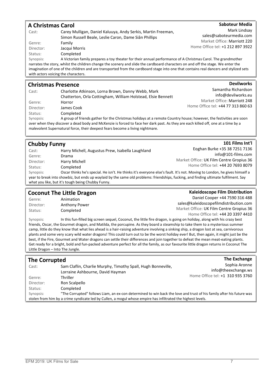#### A Christmas Carol Cast: Carey Mulligan, Daniel Kaluuya, Andy Serkis, Martin Freeman, Simon Russell Beale, Leslie Caron, Dame Siân Phillips Genre: Family Director: Jacqui Morris Status: Completed Saboteur Media Mark Lindsay sales@saboteurmedia.com Market Office: Marriott 220 Home Office tel: +1 212 897 3922 Synopsis: A Victorian family prepares a toy theater for their annual performance of A Christmas Carol. The grandmother narrates the story, whilst the children change the scenery and slide the cardboard characters on and off the stage. We enter the imagination of one of the children and are transported from the cardboard stage into one that contains real dancers and stylized sets with actors voicing the characters. Christmas Presence **Devilworks**

| Cast:     | Charlotte Atkinson, Lorna Brown, Danny Webb, Mark                                                                                 | Samantha Richardson                |
|-----------|-----------------------------------------------------------------------------------------------------------------------------------|------------------------------------|
|           | Chatterton, Orla Cottingham, William Holstead, Elsie Bennett                                                                      | info@devilworks.eu                 |
| Genre:    | Horror                                                                                                                            | Market Office: Marriott 248        |
| Director: | James Cook                                                                                                                        | Home Office tel: +44 77 313 860 63 |
| Status:   | Completed                                                                                                                         |                                    |
| Synopsis: | A group of friends gather for the Christmas holidays at a remote Country house; however, the festivities are soon                 |                                    |
|           | over when they discover a dead body and McKenzie is forced to face her dark past. As they are each killed off, one at a time by a |                                    |

#### Chubby Funny

| Cast:     | Harry Michell, Augustus Prew, Isabella Laughland                                                                                     | Eoghan Burke +35 38 7251 7136            |
|-----------|--------------------------------------------------------------------------------------------------------------------------------------|------------------------------------------|
| Genre:    | Drama                                                                                                                                | $info@101$ -films.com                    |
| Director: | Harry Michell                                                                                                                        | Market Office: UK Film Centre Gropius 36 |
| Status:   | Completed                                                                                                                            | Home Office tel: +44 20 7693 8079        |
| Synopsis: | Oscar thinks he's special. He isn't. He thinks it's everyone else's fault. It's not. Moving to London, he gives himself a            |                                          |
|           | year to break into showbiz, but ends up waylaid by the same old problems: friendships, fucking, and finding ultimate fulfilment. Say |                                          |
|           | what you like, but it's tough being Chubby Funny.                                                                                    |                                          |

#### Coconut The Little Dragon

malevolent Supernatural force, their deepest fears become a living nightmare.

Genre: Animation Director: Anthony Power Status: Completed

Kaleidoscope Film Distribution Daniel Cooper +44 7590 316 488 sales@kaleidoscopefilmdistribution.com Market Office: UK Film Centre Gropius 36 Home Office tel: +44 20 3397 4410

101 Films Int'l

Synopsis: In this fun-filled big screen sequel, Coconut, the little fire dragon, is going on holiday, along with his crazy best friends, Oscar, the Gourmet dragon, and Matilda, the porcupine. As they board a steamship to take them to a mysterious summer camp, little do they know that what lies ahead is a hair-raising adventure involving a sinking ship, a dragon lost at sea, carnivorous plants and some very scary wild water dragons! This could turn out to be the worst holiday ever! But, then again, it might just be the best, if the Fire, Gourmet and Water dragons can settle their differences and join together to defeat the mean meat-eating plants. Get ready for a bright, bold and fun-packed adventure perfect for all the family, as our favourite little dragon returns in Coconut The Little Dragon – Into The Jungle.

#### The Corrupted Cast: Sam Claflin, Charlie Murphy, Timothy Spall, Hugh Bonneville, Lorraine Ashbourne, David Hayman Genre: Thriller Director: Ron Scalpello Status: Completed The Exchange Sophia Aronne info@theexchange.ws Home Office tel: +1 310 935 3760 Synopsis: "The Corrupted" follows Liam, an ex-con determined to win back the love and trust of his family after his future was stolen from him by a crime syndicate led by Cullen, a mogul whose empire has infiltrated the highest levels.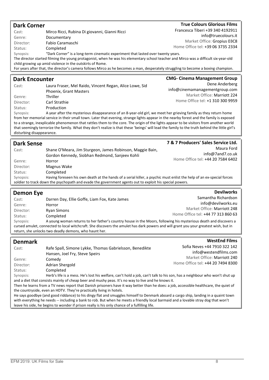| <b>Dark Corner</b>                                                                                                                                                                                                                  |                                                                                                                                                                                                                                                             | <b>True Colours Glorious Films</b>  |
|-------------------------------------------------------------------------------------------------------------------------------------------------------------------------------------------------------------------------------------|-------------------------------------------------------------------------------------------------------------------------------------------------------------------------------------------------------------------------------------------------------------|-------------------------------------|
| Cast:                                                                                                                                                                                                                               | Mirco Ricci, Rubina Di giovanni, Gianni Ricci                                                                                                                                                                                                               | Francesca Tiberi +39 340 4192911    |
| Genre:                                                                                                                                                                                                                              | Documentary                                                                                                                                                                                                                                                 | info@truecolours.it                 |
| Director:                                                                                                                                                                                                                           | Fabio Caramaschi                                                                                                                                                                                                                                            | Market Office: Gropius 03C8         |
| Status:                                                                                                                                                                                                                             | Completed                                                                                                                                                                                                                                                   | Home Office tel: +39 06 3735 2334   |
| Synopsis:                                                                                                                                                                                                                           | "Dark Corner" is a long-term cinematic experiment that lasted over twenty years.                                                                                                                                                                            |                                     |
|                                                                                                                                                                                                                                     | The director started filming the young protagonist, when he was his elementary school teacher and Mirco was a difficult six-year-old                                                                                                                        |                                     |
|                                                                                                                                                                                                                                     | child growing up amid violence in the outskirts of Rome.                                                                                                                                                                                                    |                                     |
|                                                                                                                                                                                                                                     | For years after that, the director's camera follows Mirco as he becomes a man, desperately struggling to become a boxing champion.                                                                                                                          |                                     |
| <b>Dark Encounter</b>                                                                                                                                                                                                               |                                                                                                                                                                                                                                                             | <b>CMG- Cinema Management Group</b> |
|                                                                                                                                                                                                                                     |                                                                                                                                                                                                                                                             | Dene Anderberg                      |
| Cast:                                                                                                                                                                                                                               | Laura Fraser, Mel Raido, Vincent Regan, Alice Lowe, Sid                                                                                                                                                                                                     | info@cinemamanagementgroup.com      |
|                                                                                                                                                                                                                                     | Phoenix, Grant Masters                                                                                                                                                                                                                                      | Market Office: Marriott 224         |
| Genre:                                                                                                                                                                                                                              | Thriller                                                                                                                                                                                                                                                    | Home Office tel: +1 310 300 9959    |
| Director:                                                                                                                                                                                                                           | Carl Strathie                                                                                                                                                                                                                                               |                                     |
| Status:                                                                                                                                                                                                                             | Production                                                                                                                                                                                                                                                  |                                     |
| Synopsis:                                                                                                                                                                                                                           | A year after the mysterious disappearance of an 8-year-old girl, we meet her grieving family as they return home<br>from her memorial service in their small town. Later that evening, strange lights appear in the nearby forest and the family is exposed |                                     |
|                                                                                                                                                                                                                                     | to a strange, inexplicable phenomenon that rattles them to the core. The origin of the lights appear to be visitors from another world                                                                                                                      |                                     |
|                                                                                                                                                                                                                                     | that seemingly terrorize the family. What they don't realize is that these 'beings' will lead the family to the truth behind the little girl's                                                                                                              |                                     |
| disturbing disappearance.                                                                                                                                                                                                           |                                                                                                                                                                                                                                                             |                                     |
|                                                                                                                                                                                                                                     |                                                                                                                                                                                                                                                             |                                     |
| <b>Dark Sense</b>                                                                                                                                                                                                                   |                                                                                                                                                                                                                                                             | 7 & 7 Producers' Sales Service Ltd. |
| Cast:                                                                                                                                                                                                                               | Shane O'Meara, Jim Sturgeon, James Robinson, Maggie Bain,                                                                                                                                                                                                   | Maura Ford                          |
|                                                                                                                                                                                                                                     | Gordon Kennedy, Siobhan Redmond, Sanjeev Kohli                                                                                                                                                                                                              | info@7and7.co.uk                    |
| Genre:                                                                                                                                                                                                                              | Horror                                                                                                                                                                                                                                                      | Home Office tel: +44 20 7584 6402   |
| Director:                                                                                                                                                                                                                           | Magnus Wake                                                                                                                                                                                                                                                 |                                     |
| Status:                                                                                                                                                                                                                             | Completed                                                                                                                                                                                                                                                   |                                     |
| Synopsis:                                                                                                                                                                                                                           | Having foreseen his own death at the hands of a serial killer, a psychic must enlist the help of an ex-special forces                                                                                                                                       |                                     |
|                                                                                                                                                                                                                                     | soldier to track down the psychopath and evade the government agents out to exploit his special powers.                                                                                                                                                     |                                     |
| <b>Demon Eye</b>                                                                                                                                                                                                                    |                                                                                                                                                                                                                                                             | <b>Devilworks</b>                   |
|                                                                                                                                                                                                                                     |                                                                                                                                                                                                                                                             | Samantha Richardson                 |
| Cast:                                                                                                                                                                                                                               | Darren Day, Ellie Goffe, Liam Fox, Kate James                                                                                                                                                                                                               | info@devilworks.eu                  |
| Genre:                                                                                                                                                                                                                              | Horror                                                                                                                                                                                                                                                      | Market Office: Marriott 248         |
| Director:<br>Status:                                                                                                                                                                                                                | <b>Ryan Simons</b><br>Completed                                                                                                                                                                                                                             | Home Office tel: +44 77 313 860 63  |
| Synopsis:                                                                                                                                                                                                                           | A young woman returns to her father's country house in the Moors, following his mysterious death and discovers a                                                                                                                                            |                                     |
|                                                                                                                                                                                                                                     | cursed amulet, connected to local witchcraft. She discovers the amulet has dark powers and will grant you your greatest wish, but in                                                                                                                        |                                     |
|                                                                                                                                                                                                                                     | return, she unlocks two deadly demons, who haunt her.                                                                                                                                                                                                       |                                     |
|                                                                                                                                                                                                                                     |                                                                                                                                                                                                                                                             |                                     |
| <b>Denmark</b>                                                                                                                                                                                                                      |                                                                                                                                                                                                                                                             | <b>WestEnd Films</b>                |
| Cast:                                                                                                                                                                                                                               | Rafe Spall, Simone Lykke, Thomas Gabrielsson, Benedikte                                                                                                                                                                                                     | Sofia Neves +44 7910 322 142        |
|                                                                                                                                                                                                                                     | Hansen, Joel Fry, Steve Speirs                                                                                                                                                                                                                              | info@westendfilms.com               |
| Genre:                                                                                                                                                                                                                              | Comedy                                                                                                                                                                                                                                                      | Market Office: Marriott 240         |
| Director:                                                                                                                                                                                                                           | Adrian Shergold                                                                                                                                                                                                                                             | Home Office tel: +44 20 7494 8300   |
| Status:                                                                                                                                                                                                                             | Completed                                                                                                                                                                                                                                                   |                                     |
| Synopsis:                                                                                                                                                                                                                           | Herb's life is a mess. He's lost his welfare, can't hold a job, can't talk to his son, has a neighbour who won't shut up                                                                                                                                    |                                     |
|                                                                                                                                                                                                                                     | and a diet that consists mainly of cheap beer and mushy peas. It's no way to live and he knows it.                                                                                                                                                          |                                     |
|                                                                                                                                                                                                                                     | Then he learns from a TV news report that Danish prisoners have it way better than he does: a job, accessible healthcare, the quiet of                                                                                                                      |                                     |
|                                                                                                                                                                                                                                     | the countryside, even an HDTV. They're practically living in hotels.                                                                                                                                                                                        |                                     |
| He says goodbye (and good riddance) to his dingy flat and smuggles himself to Denmark aboard a cargo ship, landing in a quaint town                                                                                                 |                                                                                                                                                                                                                                                             |                                     |
| with everything he needs -- including a bank to rob. But when he meets a friendly local barmaid and a lovable stray dog that won't<br>leave his side, he begins to wonder if prison really is his only chance of a fulfilling life. |                                                                                                                                                                                                                                                             |                                     |
|                                                                                                                                                                                                                                     |                                                                                                                                                                                                                                                             |                                     |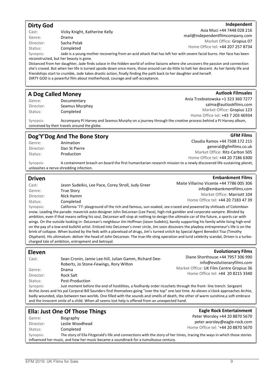#### Dirty God

#### Independent

**Autlook Filmsales** 

**Embankment Films** 

| Cast:     | Vicky Knight, Katherine Kelly          | Asia Muci +44 7448 028 216                                                                                                          |
|-----------|----------------------------------------|-------------------------------------------------------------------------------------------------------------------------------------|
| Genre:    | Drama                                  | mail@independentfilmcompany.com                                                                                                     |
| Director: | Sacha Polak                            | Market Office: Gropius 07                                                                                                           |
| Status:   | Completed                              | Home Office tel: +44 207 257 8734                                                                                                   |
| Synopsis: |                                        | Jade is a young mother recovering from an acid attack that has left her with severe facial burns. Her face has been                 |
|           | reconstructed, but her beauty is gone. |                                                                                                                                     |
|           |                                        | Distanced from her daughter, lade finds selece in the hidden world of online ligisons where she uncovers the passion and connection |

Distanced from her daughter, Jade finds solace in the hidden world of online liaisons where she uncovers the passion and connection she's craved. But when her life is turned upside down once more, those around can do little to halt her descent. As her family life and friendships start to crumble, Jade takes drastic action, finally finding the path back to her daughter and herself. DIRTY GOD is a powerful film about motherhood, courage and self-acceptance.

#### A Dog Called Money

conceived by their travels around the globe.

Genre: Documentary Director: Seamus Murphey Status: Completed

Ania Trzebiatowska +1 323 360 7277 salma@autlookfilms.com Market Office: Gropius 123 Home Office tel: +43 7 203 46934 Synopsis: Accompany PJ Harvey and Seamus Murphy on a journey through the creative process behind a PJ Harvey album,

|           | Dog'Y'Dog And The Bone Story           | <b>GFM Films</b>                                                                                                    |
|-----------|----------------------------------------|---------------------------------------------------------------------------------------------------------------------|
| Genre:    | Animation                              | Claudia Ramos +44 7508 172 215                                                                                      |
| Director: | Dan St Pierre                          | general@gfmfilms.co.uk                                                                                              |
| Status:   | Production                             | Market Office: Ritz-Carlton 505                                                                                     |
|           |                                        | Home Office tel: +44 20 7186 6300                                                                                   |
| Synopsis: |                                        | A containment breach on-board the first humanitarian research mission to a newly discovered life-sustaining planet, |
|           | unleashes a nerve-shredding infection. |                                                                                                                     |

#### Driven

| Cast:     | Jason Sudeikis, Lee Pace, Corey Stroll, Judy Greer                                                              | Maite Villarino Vicente +44 7786 005 306 |
|-----------|-----------------------------------------------------------------------------------------------------------------|------------------------------------------|
| Genre:    | True Story                                                                                                      | info@embankmentfilms.com                 |
| Director: | Nick Hamm                                                                                                       | Market Office: Marriott 104              |
| Status:   | Completed                                                                                                       | Home Office tel: +44 20 7183 47 39       |
| Synopsis: | California '77: playground of the rich and famous, sun-soaked, sex-crazed and powered by shitloads of Colombian |                                          |
|           | indian dia dan memperbentuk dalam bermulan dalam Delisa dan Desa Unitah dalam pendangan pemerintan dia Ditalah  |                                          |

snow. Leading the parade: maverick auto-designer John DeLorean (Lee Pace), high-risk gambler and corporate vampire. Blinded by ambition, even if that means selling his soul, DeLorean will stop at nothing to design the ultimate car of the future, a sports car with wings. On the outside looking in: DeLorean's neighbour Jim Hoffman (Jason Sudekis), barely supporting his family while living high-end on the pay of a low-end bullshit artist. Enticed into DeLorean's inner circle, Jim soon discovers the playboy entrepreneur's life is on the brink of collapse. When busted by the feds with a planeload of drugs, Jim's turned snitch by Special Agent Benedict Tisa (Timothy Olyphant). His ultimatum: deliver the head of John DeLorean. The true-life sting operation and lurid celebrity scandal, Driven is a turbocharged tale of ambition, entrapment and betrayal.

| <b>Evolutionary Films</b>                                                                                      |
|----------------------------------------------------------------------------------------------------------------|
| Diane Shorthouse +44 7957 306 990                                                                              |
| info@evolutionaryfilms.com                                                                                     |
| Market Office: UK Film Centre Gropius 36                                                                       |
| Home Office tel: +44 20 8215 3340                                                                              |
|                                                                                                                |
| Just moment before the end of hostilities, a foolhardy order ricochets through the front-line trench. Sergeant |
|                                                                                                                |

Archie Jones and his pal Corporal Bill Saunders find themselves going "over the top" one last time. As eleven o'clock approaches Archie, badly wounded, slips between two worlds. One filled with the sounds and smells of death, the other of warm sunshine,a soft embrace and the innocent smile of a child. When all seems lost help is offered from an unexpected hand.

#### Ella: Just One Of Those Things

| Genre:                                                                                                                                | Biography       | Peter Worsley +44 20 8870 5670     |
|---------------------------------------------------------------------------------------------------------------------------------------|-----------------|------------------------------------|
| Director:                                                                                                                             | Leslie Woodhead | peter.worsley@eagle-rock.com       |
| Status:                                                                                                                               | Completed       | Home Office tel: '+44 20 8870 5670 |
| The story of Ella Fitzgerald's life and connections with the story of her times, tracing the ways in which those stories<br>Synopsis: |                 |                                    |
| influenced her music, and how her music became a soundtrack for a tumultuous century.                                                 |                 |                                    |

**Eagle Rock Entertainment**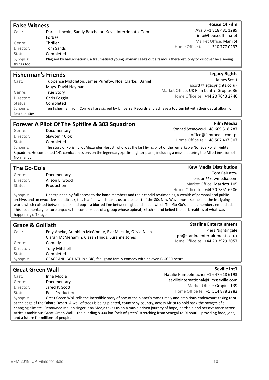| <b>False Witness</b>                                       |                                                                                                                                                                     | <b>House Of Film</b>                                       |
|------------------------------------------------------------|---------------------------------------------------------------------------------------------------------------------------------------------------------------------|------------------------------------------------------------|
| Cast:                                                      | Darcie Lincoln, Sandy Batchelor, Kevin Interdonato, Tom<br>Forbes                                                                                                   | Ava B +1 818 481 1289<br>info@houseoffilm.net              |
| Genre:<br>Director:<br>Status:<br>Synopsis:<br>things too. | <b>Thriller</b><br><b>Tom Sands</b><br>Completed<br>Plagued by hallucinations, a traumatised young woman seeks out a famous therapist, only to discover he's seeing | Market Office: Marriot<br>Home Office tel: +1 310 777 0237 |
|                                                            | <b>Fisherman's Friends</b>                                                                                                                                          | <b>Legacy Rights</b>                                       |
| Cast:                                                      | Tuppence Middleton, James Purefoy, Noel Clarke, Daniel<br>Mays, David Hayman                                                                                        | James Scott<br>jscott@legacyrights.co.uk                   |
| Genre:                                                     | True Storv                                                                                                                                                          | Market Office: UK Film Centre Gropius 36                   |

| Director: | Chris Foggin                                                                                                    | Home Office tel: +44 20 7043 274 |
|-----------|-----------------------------------------------------------------------------------------------------------------|----------------------------------|
| Status:   | Completed                                                                                                       |                                  |
| Synopsis: | Ten fisherman from Cornwall are signed by Universal Records and achieve a top ten hit with their debut album of |                                  |

Sea Shanties.

#### Forever A Pilot Of The Spitfire & 303 Squadron

Genre: Documentary Director: Slawomir Ciok Status: Completed Konrad Sosnowski +48 669 518 787 office@filmmedia.com.pl Home Office tel: +48 507 407 507 Synopsis: The story of Polish pilot Alexander Herbst, who was the last living pilot of the remarkable No. 303 Polish Fighter Squadron. He completed 141 combat missions on the legendary Spitfire fighter plane, including a mission during the Allied invasion of Normandy.

#### The Go-Go's

| Genre:    | Documentary    |
|-----------|----------------|
| Director: | Alison Ellwood |
| Status:   | Production     |

**Kew Media Distribution** Tom Bairstow

**Film Media** 

london@kewmedia.com Market Office: Marriott 105 Home Office tel: +44 20 7851 6506

Home Office tel: +44 20 7043 2740

Synopsis: Underpinned by full access to the band members and their candid testimonies, a wealth of personal and public archive, and an evocative soundtrack, this is a film which takes us to the heart of the 80s New Wave music scene and the intriguing world which existed between punk and pop – a blurred line between light and shade which The Go-Go's and its members embodied. This documentary feature unpacks the complexities of a group whose upbeat, kitsch sound belied the dark realities of what was happening off stage.

| <b>Grace &amp; Golliath</b> |                                                                                                                     | <b>Starline Entertainment</b>         |
|-----------------------------|---------------------------------------------------------------------------------------------------------------------|---------------------------------------|
| Cast:                       | Emy Aneke, Aoibhinn McGinnity, Eve Macklin, Olivia Nash,                                                            | Piers Nightingale                     |
|                             | Ciarán McMenamin, Ciarán Hinds, Suranne Jones                                                                       | pn@starlineentertainment.co.uk        |
| Genre:                      | Comedy                                                                                                              | Home Office tel: +44 20 3929 2057     |
| Director:                   | <b>Tony Mitchell</b>                                                                                                |                                       |
| Status:                     | Completed                                                                                                           |                                       |
| Synopsis:                   | GRACE AND GOLIATH is a BIG, feel-good family comedy with an even BIGGER heart.                                      |                                       |
|                             |                                                                                                                     |                                       |
| <b>Great Green Wall</b>     |                                                                                                                     | Seville Int'l                         |
| Cast:                       | Inna Modia                                                                                                          | Natalie Kampelmacher +1 647 618 6193  |
| Genre:                      | Documentary                                                                                                         | sevilleinternational@filmsseville.com |
| Director:                   | Jared P. Scott                                                                                                      | Market Office: Gropius 139            |
| Status:                     | Post-Production                                                                                                     | Home Office tel: +1 514 878 2282      |
| Synopsis:                   | Great Green Wall tells the incredible story of one of the planet's most timely and ambitious endeavours taking root |                                       |

at the edge of the Sahara Desert. A wall of trees is being planted, country by country, across Africa to hold back the ravages of a changing climate. Renowned Malian singer Inna Modja takes us on a music-driven journey of hope, hardship and perseverance across Africa's ambitious Great Green Wall – the budding 8,000 km "belt of green" stretching from Senegal to Djibouti – providing food, jobs, and a future for millions of people.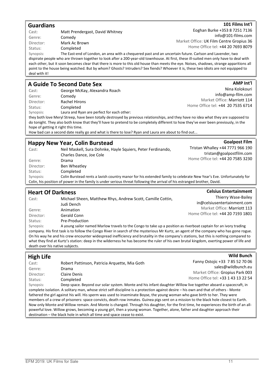#### Guardians Cast: Matt Prendergast, David Whitney Genre: Comedy Director: Mark Ac Brown Status: Completed 101 Films Int'l Eoghan Burke +353 8 7251 7136 info@101-films.com Market Office: UK Film Centre Gropius 36 Home Office tel: +44 20 7693 8079 Synopsis: The East-end of London, an area with a chequered past and an uncertain future. Carlson and Lavender, two dispirate people who are thrown together to look after a 200-year-old townhouse. At first, these ill-suited men only have to deal with each other, but it soon becomes clear that there is more to this old house than meets the eye. Noises, shadows, strange apparitions all point to the house being watched. But by whom? Ghosts? Intruders? Sex fiends? Whoever it is, these two idiots are not equipped to deal with it! A Guide To Second Date Sex Cast: George McKay, Alexandra Roach Genre: Comedy Director: Rachel Hirons Status: Completed AMP Int'l Nina Kolokouri info@amp-film.com Market Office: Marriott 114 Home Office tel: +44 20 7535 6714 Synopsis: Laura and Ryan are perfect for each other: they both love Meryl Streep, have been totally destroyed by previous relationships, and they have no idea what they are supposed to do tonight. They also both know that they'll have to pretend to be completely different to how they've ever been previously, in the hope of getting it right this time. How bad can a second date really go and what is there to lose? Ryan and Laura are about to find out... Happy New Year, Colin Burstead Cast: Neil Maskell, Sura Dohnke, Hayle Squiers, Peter Ferdinando, Charles Dance, Joe Cole Genre: Drama Director: Ben Wheatley Status: Completed Goalpost Film Tristan Whalley +44 7771 966 190 tristan@goalpostfilm.com Home Office tel: +44 20 7585 3230 Synopsis: Colin Burstead rents a lavish country manor for his extended family to celebrate New Year's Eve. Unfortunately for Colin, his position of power in the family is under serious threat following the arrival of his estranged brother, David. Heart Of Darkness Cast: Michael Sheen, Matthew Rhys, Andrew Scott, Camille Cottin, TCelsius Entertainment Thierry Wase-Bailey

| Cast.                                                                                                                                                                                                                                                                           | <u>ivilcridei Sileeli, iviattilew Kilys, Allulew Scott, Callille Cottill, </u>                                   |                                   |
|---------------------------------------------------------------------------------------------------------------------------------------------------------------------------------------------------------------------------------------------------------------------------------|------------------------------------------------------------------------------------------------------------------|-----------------------------------|
|                                                                                                                                                                                                                                                                                 | Judi Dench                                                                                                       | in@celsiusentertainment.com       |
| Genre:                                                                                                                                                                                                                                                                          | Animation                                                                                                        | Market Office: Marriott 113       |
| Director:                                                                                                                                                                                                                                                                       | Gerald Conn                                                                                                      | Home Office tel: +44 20 7193 1801 |
| Status:                                                                                                                                                                                                                                                                         | Pre-Production                                                                                                   |                                   |
| Synopsis:                                                                                                                                                                                                                                                                       | A young sailor named Marlow travels to the Congo to take up a position as riverboat captain for an ivory trading |                                   |
| company. His first task is to follow the Congo River in search of the mysterious Mr Kurtz, an agent of the company who has gone rogue.<br>On his way he and his crew encounter widespread inefficiency and brutality in the company's stations, but this is nothing compared to |                                                                                                                  |                                   |

what they find at Kurtz's station: deep in the wilderness he has become the ruler of his own brutal kingdom, exerting power of life and death over his native subjects.

### High Life

#### **Wild Bunch**

| Cast:     | Robert Pattinson, Patricia Arquette, Mia Goth                                                                                      | Fanny Ostojic +33 7 85 52 70 06    |
|-----------|------------------------------------------------------------------------------------------------------------------------------------|------------------------------------|
| Genre:    | Drama                                                                                                                              | sales@wildbunch.eu                 |
| Director: | Claire Denis                                                                                                                       | Market Office: Gropius Park 003    |
| Status:   | Completed                                                                                                                          | Home Office tel: +33 1 43 13 22 54 |
| Synopsis: | Deep space. Beyond our solar system. Monte and his infant daughter Willow live together aboard a spacecraft, in                    |                                    |
|           | complete isolation A solitary man whose strict self-discipline is a protection against desire – his own and that of others - Monte |                                    |

complete isolation. A solitary man, whose strict self-discipline is a protection against desire – his own and that of others - Monte fathered the girl against his will. His sperm was used to inseminate Boyse, the young woman who gave birth to her. They were members of a crew of prisoners: space convicts, death row inmates. Guinea pigs sent on a mission to the black hole closest to Earth. Now only Monte and Willow remain. And Monte is changed. Through his daughter, for the first time, he experiences the birth of an allpowerful love. Willow grows, becoming a young girl, then a young woman. Together, alone, father and daughter approach their destination – the black hole in which all time and space cease to exist.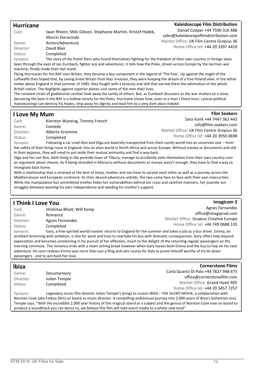#### Hurricane

#### Kaleidoscope Film Distribution

Daniel Cooper +44 7590 316 488 sales@kaleidoscopefilmdistribution.com Market Office: UK Film Centre Gropius 36 Home Office tel: +44 20 3397 4410

Genre: Action/Adventure Director: David Blair Status: Completed

Synopsis: The story of the Polish fliers who found themselves fighting for the freedom of their own country in foreign skies. Seen through the eyes of Jan Zumbach, fighter ace and adventurer, it tells how the Poles, driven across Europe by the German war machine, finally made their last stand.

Cast: Iwan Rheon, Milo Gibson, Stephanie Martini, Kristof Hadek,

Marcin Dorocinski

Flying Hurricanes for the RAF over Britain, they became a key component in the legend of 'The Few'. Up against the might of the Luftwaffe they hoped that, by saving Great Britain from Nazi invasion, they were keeping the dream of a free Poland alive. In the lethal melee above England in that summer of 1940, they fought with a tenacity and skill that earned them the admiration of the whole British nation. The dogfights against superior planes cost some of the men their lives.

The constant strain of gladiatorial combat took away the sanity of others. But, as Zumbach discovers as the war stutters to a close, becoming the best in the RAF is a hollow victory for the Poles. Hurricane shows how, even in a man's finest hour, cynical political manoeuvrings can destroy his hopes, strip away his dignity and lead him to a very dark place indeed.

#### I Love My Mum

Cast: Kierston Wareing, Tommy French Genre: Comedy Director: Alberto Sciamma Status: Completed

Film Seekers Sara Vonk +44 7447 362 443 info@film-seekers.com Market Office: UK Film Centre Gropius 36 Home Office tel: +44 20 3950 0698

Synopsis: Following a car crash Ron and Olga are bizarrely transported from their comfy world into an uncertain one -- from the safety of their living-room in England, into an alien world in North Africa and across Europe. Without money or documents and still in their pyjamas, they will need to put aside their mutual animosity and find a way back.

Olga and her son Ron, both living in the portside town of Tilbury, manage to accidently exile themselves from their own country over an argument about cheese. As if being stranded in Morocco without documents or money wasn't enough, they have to find a way to immigrate back home.

With a relationship that is strained at the best of times, mother and son have to survive each other as well as a journey across the Mediterranean and European continent. As their absurd adventure unfolds, the two come face-to-face with their own insecurities. While the manipulative but uninhibited mother hides her vulnerabilities behind her crass and carefree manners, her juvenile son struggles between wanting his own independence and needing his mother's support.

#### I Think I Love You

#### **Imagicom 3**

| Cast:     | Hrishitaa Bhatt, Will Kemp |
|-----------|----------------------------|
| Genre:    | Romance                    |
| Director: | <b>Agnes Fernandes</b>     |
| Status:   | Completed                  |

Agnes Fernandes office@imagiprod.com Market Office: Gropius Creative Europe Home Office tel: +44 749 0688 135

Synopsis: Gary, a free-spirited world traveler returns to England for the summer and takes a job as a bus driver. Emma, an architect brimming with ambition, is late for work and tries to overtake his bus with dramatic consequences. Gary offers help beyond expectation and becomes unrelenting in his pursuit of her affection, much to the delight of the returning regular passengers on the morning commute. The romance ends with a heart-aching break however when Gary leaves both Emma and the bus to hop on his next adventure. He soon realizes Emma was more than just a fling and sets course for Italy to prove himself worthy of his let down passengers - and to win back her love.

| <b>Ibiza</b>                                                                                                                           |               | <b>Cornerstone Films</b>                                                                                      |
|----------------------------------------------------------------------------------------------------------------------------------------|---------------|---------------------------------------------------------------------------------------------------------------|
| Genre:                                                                                                                                 | Documentary   | Carla Quarto Di Palo +44 7827 948 675                                                                         |
| Director:                                                                                                                              | Julien Temple | office@cornerstonefilm.com                                                                                    |
| Status:                                                                                                                                | Completed     | Market Office: Grand Hyatt 405                                                                                |
|                                                                                                                                        |               | Home Office tel: +44 20 3457 7257                                                                             |
| Synopsis:                                                                                                                              |               | Legendary music film director Julien Temple's brings to screen IBIZA - THE SILENT MOVIE, a collaboration with |
| Norman Cook (aka Fatboy Slim) on board as music director. A compelling audiovisual journey into 2,000 years of Ibiza's bohemian soul,  |               |                                                                                                               |
| Temple says; "With the incredible 2,000 year history of this magical island as a subject and the genius of Norman Cook now on board to |               |                                                                                                               |
| produce a soundtrack you can dance to, we believe this film will take event media to a whole new level"                                |               |                                                                                                               |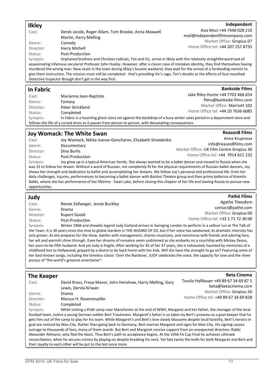#### Ilkley

Cast: Derek Jacobi, Roger Allam, Tom Brooke, Anna Maxwell Martin, Harry Melling Genre: Comedy

Director: Harry Michell

Status: Post-Production

Independent Asia Muci +44 7448 028 216 mail@independentfilmcompany.com Market Office: Gropius 07 Home Office tel: +44 207 257 8735

Synopsis: Orphaned brothers and Christian radicals, Tim and Vic, arrive in Ilkley with the relatively straightforward task of assassinating infamous secularist Professor John Huxley. However, after a classic case of mistaken identity, they find themselves having murdered the wrong man. Now stuck in the town during Ilkley's busiest weekend, they wait for the arrival of a foreboding mentor to give them instruction. The mission must still be completed - that's providing Vic's rage, Tim's doubts or the efforts of foul-mouthed Detective Inspector Brough don't get in the way first.

#### In Fabric

| Cast:                                                                                                 | Marianne Jean-Baptiste                                                                                               | Jake Riley-Hunte +44 7703 466 654 |
|-------------------------------------------------------------------------------------------------------|----------------------------------------------------------------------------------------------------------------------|-----------------------------------|
| Genre:                                                                                                | Fantasy                                                                                                              | films@bankside-films.com          |
| Director:                                                                                             | Peter Strickland                                                                                                     | Market Office: Marriott 102       |
| Status:                                                                                               | Completed                                                                                                            | Home Office tel: +44 20 7636 6085 |
| Synopsis:                                                                                             | In Fabric is a haunting ghost story set against the backdrop of a busy winter sales period in a department store and |                                   |
| follows the life of a cursed dress as it passes from person to person, with devastating consequences. |                                                                                                                      |                                   |

#### Joy Womack: The White Swan

#### **Reason8 Films**

**Bankside Films** 

| Cast:                                                                                                                                  | Joy Womack, Nikita Ivanov-Goncharov, Elizabeth Shvedenko                                                       | Anna Krupnova                            |
|----------------------------------------------------------------------------------------------------------------------------------------|----------------------------------------------------------------------------------------------------------------|------------------------------------------|
| Genre:                                                                                                                                 | Documentary                                                                                                    | info@reason8films.com                    |
| Director:                                                                                                                              | Dina Burlis                                                                                                    | Market Office: UK Film Centre Gropius 36 |
| Status:                                                                                                                                | Post-Production                                                                                                | Home Office tel: +44 7914 621 232        |
| Synopsis:                                                                                                                              | Joy grew up in a typical American family. She always wanted to be a ballet dancer and moved to Russia when she |                                          |
| was 15 to follow her dream. Without a word of Russian, not completely fit for the physical requirements of Russian ballet dancers, Joy |                                                                                                                |                                          |
| shows her strength and dedication to ballet and accomplishing her dreams. We follow Joy's personal and professional life: from her     |                                                                                                                |                                          |
| daily challenges, injuries, performances to becoming a ballet dancer with Bolshoi Theatre group and then prima ballerina of Kremlin    |                                                                                                                |                                          |

Ballet, where she has performance of her lifetime - Swan Lake, before closing this chapter of her life and leaving Russia to pursue new

opportunities. Judy

#### Pathé Films

**Beta Cinema** 

| Cast:     | Renee Zellweger, Jessie Buckley | Agathe Theodore                                                                                                               |
|-----------|---------------------------------|-------------------------------------------------------------------------------------------------------------------------------|
| Genre:    | Drama                           | contact@pathe.com                                                                                                             |
| Director: | Rupert Goold                    | Market Office: Gropius 06                                                                                                     |
| Status:   | Post-Production                 | Home Office tel: +33 1 71 72 30 00                                                                                            |
|           |                                 | With the 4000 periodic collection of the Order of particular Order of the first produced to a periodic control of the Tell of |

Synopsis: Winter 1968 and showbiz legend Judy Garland arrives in Swinging London to perform in a sellout run at The Talk of the Town. It is 30 years since she shot to global stardom in THE WIZARD OF OZ, but if her voice has weakened, its dramatic intensity has only grown. As she prepares for the show, battles with management, charms musicians, and reminisces with friends and adoring fans, her wit and warmth shine through. Even her dreams of romance seem undimmed as she embarks on a courtship with Mickey Deans, her soon-to-be fifth husband. And yet Judy is fragile. After working for 45 of her 47 years, she is exhausted; haunted by memories of a childhood lost to Hollywood; gripped by a desire to be back home with her kids. Will she have the strenght to go on? Featuring some of her best-known songs, including the timeless classic 'Over the Rainbow', JUDY celebrates the voice, the capacity for love and the sheer pizzazz of "the world's greatest entertainer".

#### The Keeper

| Cast:                                                                                                                                     | David Kross, Freya Mavor, John Henshaw, Harry Melling, Gary                                                                                | Tassilo Hallbauer +49 89 67 34 69 87 5 |
|-------------------------------------------------------------------------------------------------------------------------------------------|--------------------------------------------------------------------------------------------------------------------------------------------|----------------------------------------|
|                                                                                                                                           | Lewis, Dervla Kirwan                                                                                                                       | beta@betacinema.com                    |
| Genre:                                                                                                                                    | Drama                                                                                                                                      | Market Office: Gropius 26              |
|                                                                                                                                           |                                                                                                                                            | Home Office tel: +49 89 67 34 69 828   |
| Director:                                                                                                                                 | Marcus H. Rosenmueller                                                                                                                     |                                        |
| Status:                                                                                                                                   | Completed                                                                                                                                  |                                        |
| Synopsis:                                                                                                                                 | While visiting a PoW camp near Manchester at the end of WWII, Margaret and her father, the manager of the local                            |                                        |
|                                                                                                                                           | football team, notice a young German soldier Bert Trautmann. Margaret's father is so taken by Bert's prowess as a goal-keeper that he      |                                        |
|                                                                                                                                           | gets him out of the camp to play for his team. While Margaret's and Bert's love slowly blossoms despite local hostility, Bert's heroics in |                                        |
|                                                                                                                                           | goal are noticed by Man City. Rather than going back to Germany, Bert marries Margaret and signs for Man City. His signing causes          |                                        |
| outrage to thousands of fans, many of them Jewish. But Bert and Margaret receive support from an unexpected direction: Rabbi              |                                                                                                                                            |                                        |
| Alexander Altmann, who fled the Nazis. Thus Bert's path to acceptance begins. At the 1956 FA Cup Final he achieves ultimate               |                                                                                                                                            |                                        |
| reconciliation, when he secures victory by playing on despite breaking his neck. Yet fate twists the knife for both Margaret and Bert and |                                                                                                                                            |                                        |

their loyalty to each other will be put to the test once more.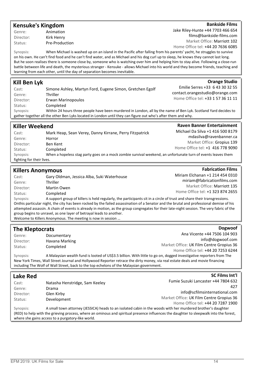#### Kensuke's Kingdom

Genre: Animation Director: Kirk Henry Status: Pre-Production

#### **Bankside Films**

**Orange Studio** 

Jake Riley-Hunte +44 7703 466 654 films@bankside-films.com Market Office: Marriott 102 Home Office tel: +44 20 7636 6085

Synopsis: When Michael is washed up on an island in the Pacific after falling from his parents' yacht, he struggles to survive

on his own. He can't find food and he can't find water, and as Michael and his dog curl up to sleep, he knows they cannot last long. But he soon realises there is someone close by, someone who is watching over him and helping him to stay alive. Following a close-run battle between life and death, the mysterious stranger - Kensuke - allows Michael into his world and they become friends, teaching and learning from each other, until the day of separation becomes inevitable.

#### Kill Ben Lyk

| Cast:                                                                                                        | Simone Ashley, Martyn Ford, Eugene Simon, Gretchen Egolf                                                        | Emilie Serres +33 6 43 30 32 55    |
|--------------------------------------------------------------------------------------------------------------|-----------------------------------------------------------------------------------------------------------------|------------------------------------|
| Genre:                                                                                                       | <b>Thriller</b>                                                                                                 | contact.orangestudio@orange.com    |
| Director:                                                                                                    | Erwan Marinopoulos                                                                                              | Home Office tel: +33 1 57 36 11 11 |
| Status:                                                                                                      | Completed                                                                                                       |                                    |
| Synopsis:                                                                                                    | Within 24 hours three people have been murdered in London, all by the name of Ben Lyk. Scotland Yard decides to |                                    |
| gather together all the other Ben Lyks located in London until they can figure out who's after them and why. |                                                                                                                 |                                    |

| Killer Weekend                                                                                                            |                                                         | <b>Raven Banner Entertainment</b> |
|---------------------------------------------------------------------------------------------------------------------------|---------------------------------------------------------|-----------------------------------|
| Cast:                                                                                                                     | Mark Heap, Sean Verey, Danny Kirrane, Perry Fitzpatrick | Michael Da Silva +1 416 500 8179  |
| Genre:                                                                                                                    | Horror                                                  | mdasilva@ravenbanner.ca           |
| Director:                                                                                                                 | Ben Kent                                                | Market Office: Gropius 139        |
| Status:                                                                                                                   | Completed                                               | Home Office tel: +1 416 778 9090  |
| When a hopeless stag party goes on a mock zombie survival weekend, an unfortunate turn of events leaves them<br>Synopsis: |                                                         |                                   |
| fighting for their lives.                                                                                                 |                                                         |                                   |

#### Killers Anonymous

| Cast:     | Gary Oldman, Jessica Alba, Suki Waterhouse                    |
|-----------|---------------------------------------------------------------|
| Genre:    | Thriller                                                      |
| Director: | Martin Owen                                                   |
| Status:   | Completed                                                     |
| Synopsis: | A support group of killers is held regularly, the participant |

**Fabrication Films** Miriam Elchanan +1 214 454 0310 miriam@fabricationfilms.com Market Office: Marriott 135 Home Office tel: +1 323 874 2655

**Dogwoof** 

SC Films Int'l

ants sit in a circle of trust and share their transgressions. Onthis particular night, the city has been rocked by the failed assassination of a Senator and the brutal and professional demise of his attempted assassin. A chain of events is already in motion, as the group congregates for their late-night session. The very fabric of the group begins to unravel, as one layer of betrayal leads to another. Welcome to Killers Anonymous. The meeting is now in session …

#### The Kleptocrats

| Genre:    | Documentary    | Ana Vicente +44 7506 104 903             |
|-----------|----------------|------------------------------------------|
| Director: | Havana Marking | info@dogwoof.com                         |
| Status:   | Completed      | Market Office: UK Film Centre Gropius 36 |
|           |                | Home Office tel: +44 20 7253 6244        |

Synopsis: A Malaysian wealth fund is looted of US\$3.5 billion. With little to go on, dogged investigative reporters from The New York Times, Wall Street Journal and Hollywood Reporter retrace the dirty money, via real estate deals and movie financing including The Wolf of Wall Street, back to the top echelons of the Malaysian government.

#### Lake Red

| Cast:     | Natasha Henstridge, Sam Keeley | Fumie Suzuki Lancaster +44 7804 632                                                                                                    |
|-----------|--------------------------------|----------------------------------------------------------------------------------------------------------------------------------------|
| Genre:    | Drama                          | 427                                                                                                                                    |
| Director: | Glen Kirby                     | info@scfilmsinternational.com                                                                                                          |
| Status:   | Development                    | Market Office: UK Film Centre Gropius 36                                                                                               |
|           |                                | Home Office tel: +44 20 7287 1900                                                                                                      |
| Synopsis: |                                | A small town attorney (JESSICA) heads to an isolated cabin in the woods with her murdered brother's daughter                           |
|           |                                | (RED) to help with the grieving process, where an ominous and spiritual presence influences the daughter to sleepwalk into the forest, |

where she gains access to a purgatory-like world.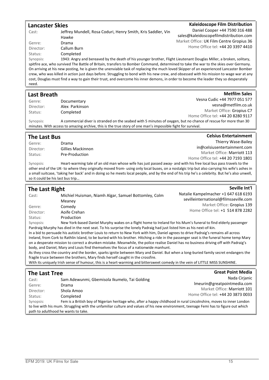#### Lancaster Skies Cast: Jeffrey Mundell, Rosa Coduri, Henry Smith, Kris Saddler, Vin Hawke Genre: Drama Director: Callum Burn Status: Completed Kaleidoscope Film Distribution Daniel Cooper +44 7590 316 488 sales@kaleidoscopefilmdistribution.com Market Office: UK Film Centre Gropius 36 Home Office tel: +44 20 3397 4410 Synopsis: 1943: Angry and bereaved by the death of his younger brother, Flight Lieutenant Douglas Miller, a broken, solitary, spitfire ace, who survived The Battle of Britain, transfers to Bomber Command, determined to take the war to the skies over Germany. On arriving at his new posting, he is given the unenviable task of replacing the much loved Skipper of an experienced Lancaster Bomber crew, who was killed in action just days before. Struggling to bond with his new crew, and obsessed with his mission to wage war at any cost, Douglas must find a way to gain their trust, and overcome his inner demons, in order to become the leader they so desperately

| <br>ł<br>۰, |
|-------------|
|-------------|

| <b>Last Breath</b>                                                                                          |                | <b>Metfilm Sales</b>                                                                                            |
|-------------------------------------------------------------------------------------------------------------|----------------|-----------------------------------------------------------------------------------------------------------------|
| Genre:                                                                                                      | Documentary    | Vesna Cudic +44 7977 051 577                                                                                    |
| Director:                                                                                                   | Alex Parkinson | vesna@metfilm.co.uk                                                                                             |
| Status:                                                                                                     | Completed      | Market Office: Gropius C7                                                                                       |
|                                                                                                             |                | Home Office tel: +44 20 8280 9117                                                                               |
| Synopsis:                                                                                                   |                | A commercial diver is stranded on the seabed with 5 minutes of oxygen, but no chance of rescue for more than 30 |
| minutes. With access to amazing archive, this is the true story of one man's impossible fight for survival. |                |                                                                                                                 |

| The Last Bus |                   | <b>Celsius Entertainment</b>      |
|--------------|-------------------|-----------------------------------|
| Genre:       | Drama             | Thierry Wase-Bailey               |
| Director:    | Gillies Mackinnon | in@celsiusentertainment.com       |
| Status:      | Pre-Production    | Market Office: Marriott 113       |
|              |                   | Home Office tel: +44 20 7193 1801 |

Synopsis: Heart-warming tale of an old man whose wife has just passed away- and with his free local bus pass travels to the other end of the UK- to where they originally moved from- using only local buses, on a nostalgic trip but also carrying his wife's ashes in a small suitcase, 'taking her back' and in doing so he meets local people, and by the end of his trip he's a celebrity. But he's also unwell, so it could be his last bus trip…

| The Last Right                                                                                                                           |                                                                                                                | Seville Int'l                         |
|------------------------------------------------------------------------------------------------------------------------------------------|----------------------------------------------------------------------------------------------------------------|---------------------------------------|
| Cast:                                                                                                                                    | Michiel Huisman, Niamh Algar, Samuel Bottomley, Colm                                                           | Natalie Kampelmacher +1 647 618 6193  |
|                                                                                                                                          | Meaney                                                                                                         | sevilleinternational@filmsseville.com |
| Genre:                                                                                                                                   | Comedy                                                                                                         | Market Office: Gropius 139            |
| Director:                                                                                                                                | Aoife Crehan                                                                                                   | Home Office tel: +1 514 878 2282      |
| Status:                                                                                                                                  | Production                                                                                                     |                                       |
| Synopsis:                                                                                                                                | New York-based Daniel Murphy wakes on a flight home to Ireland for his Mum's funeral to find elderly passenger |                                       |
| Pardraig Murphy has died in the next seat. To his surprise the lonely Padraig had just listed him as his next-of-kin.                    |                                                                                                                |                                       |
| In a bid to persuade his autistic brother Louis to return to New York with him, Daniel agrees to drive Padraig's remains all across      |                                                                                                                |                                       |
| Ireland, from Cork to Rathlin Island, to be buried with his brother. Hitching a ride in the passenger seat is the funeral home temp Mary |                                                                                                                |                                       |
| on a desperate mission to correct a drunken mistake. Meanwhile, the police realise Daniel has no business driving off with Padraig's     |                                                                                                                |                                       |
| body, and Daniel, Mary and Louis find themselves the focus of a nationwide manhunt.                                                      |                                                                                                                |                                       |
| As they cross the country and the border, sparks ignite between Mary and Daniel. But when a long-buried family secret endangers the      |                                                                                                                |                                       |
| fragile truce between the brothers, Mary finds herself caught in the crossfire.                                                          |                                                                                                                |                                       |
| With its uniquely Irish sense of humour, this is a heart-warming and bittersweet comedy in the vein of LITTLE MISS SUNSHINE.             |                                                                                                                |                                       |

| <b>The Last Tree</b>                |                                                                                                                                      | <b>Great Point Media</b>          |
|-------------------------------------|--------------------------------------------------------------------------------------------------------------------------------------|-----------------------------------|
| Cast:                               | Sam Adewunmi, Gbemisola Ikumelo, Tai Golding                                                                                         | Nada Cirjanic                     |
| Genre:                              | Drama                                                                                                                                | Imeurin@greatpointmedia.com       |
| Director:                           | Shola Amoo                                                                                                                           | Market Office: Marriott 101       |
| Status:                             | Completed                                                                                                                            | Home Office tel: +44 20 3873 0033 |
| Synopsis:                           | Fem is a British boy of Nigerian heritage who, after a happy childhood in rural Lincolnshire, moves to inner London                  |                                   |
|                                     | to live with his mum. Struggling with the unfamiliar culture and values of his new environment, teenage Femi has to figure out which |                                   |
| path to adulthood he wants to take. |                                                                                                                                      |                                   |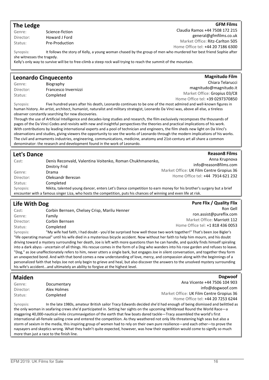Genre: Science-fiction Director: Howard J Ford Status: Pre-Production

Claudia Ramos +44 7508 172 215 general@gfmfilms.co.uk Market Office: Ritz-Carlton 505 Home Office tel: +44 20 7186 6300

**GFM Films** 

Synopsis: It follows the story of Kelly, a young woman chased by the group of men who murdered her best friend Sophie after she witnesses the tragedy. Kelly's only way to survive will be to free-climb a steep rock wall trying to reach the summit of the mountain.

#### Leonardo Cinquecento

The Ledge

Genre: Biography Director: Francesco Invernizzi Status: Completed

Magnitudo Film Chiara Telarucci magnitudo@magnitudo.it Market Office: Gropius 03/C8 Home Office tel: +39 0297370850

**Reason8 Films** 

Synopsis: Five hundred years after his death, Leonardo continues to be one of the most admired and well-known figures in human history. An artist, architect, humanist, naturalist and military strategist, Leonardo Da Vinci was, above all else, a tireless observer constantly searching for new discoveries.

Through the use of Artificial Intelligence and decades-long studies and research, the film exclusively recomposes the thousands of pages of the Da Vinci Codes and revisits with new and insightful perspectives the theories and practical implications of his work. With contributions by leading international experts and a pool of technician and engineers, the film sheds new light on Da Vinci's observations and studies, giving viewers the opportunity to see the works of Leonardo through the modern implications of his works. The civil and armaments industries, engineering, communications, medicine, anatomy and 21st-century art all share a common denominator: the research and development found in the work of Leonardo.

#### Let's Dance

| Cast:                                                                                                              | Denis Reconvald, Valentina Voitenko, Roman Chukhmanenko,                                                          | Anna Krupnova                            |
|--------------------------------------------------------------------------------------------------------------------|-------------------------------------------------------------------------------------------------------------------|------------------------------------------|
|                                                                                                                    | Dmitriy Frid                                                                                                      | info@reason8films.com                    |
| Genre:                                                                                                             | Drama                                                                                                             | Market Office: UK Film Centre Gropius 36 |
| Director:                                                                                                          | Oleksandr Berezan                                                                                                 | Home Office tel: +44 7914 621 232        |
| Status:                                                                                                            | Completed                                                                                                         |                                          |
| Synopsis:                                                                                                          | Nikita, talented young dancer, enters Let's Dance competition to earn money for his brother's surgery but a brief |                                          |
| encounter with a famous singer Liza, who hosts the competition, puts his chances of winning and even life at risk. |                                                                                                                   |                                          |

| Life With Dog |                                                                                                                                      | <b>Pure Flix / Quality Flix</b>  |
|---------------|--------------------------------------------------------------------------------------------------------------------------------------|----------------------------------|
| Cast:         | Corbin Bernsen, Chelsey Crisp, Marilu Henner                                                                                         | Ron Gell                         |
| Genre:        | Family                                                                                                                               | ron.assist@pureflix.com          |
| Director:     | Corbin Bernsen                                                                                                                       | Market Office: Marriott 112      |
| Status:       | Completed                                                                                                                            | Home Office tel: +1 818 436 0053 |
| Synopsis:     | "My wife had faith, I had doubt - you'd be surprised how well those two work together!" That's been Joe Bigler's                     |                                  |
|               | "life operating manual" until his wife died in a mysterious bicycle accident. Now without her faith to help him mourn, and his doubt |                                  |

driving toward a mystery surrounding her death, Joe is left with more questions than he can handle, and quickly finds himself spiraling into a dark abyss - uncertain of all things. His rescue comes in the form of a Dog who wanders into his rose garden and refuses to leave. "Dog," as Joe unaffectionately refers to him, never utters a single bark, but engages Joe in silent conversation, and together they form an unexpected bond. And with that bond comes a new understanding of love, mercy, and compassion along with the beginnings of a personalized faith that helps Joe not only begin to grieve and heal, but also discover the answers to the unsolved mystery surrounding his wife's accident...and ultimately an ability to forgive at the highest level.

#### Maiden

| Genre:                                                                                                                       | Documentary | Ana Vicente +44 7506 104 903                                                                                                |
|------------------------------------------------------------------------------------------------------------------------------|-------------|-----------------------------------------------------------------------------------------------------------------------------|
| Director:                                                                                                                    | Alex Holmes | info@dogwoof.com                                                                                                            |
| Status:                                                                                                                      | Completed   | Market Office: UK Film Centre Gropius 36                                                                                    |
|                                                                                                                              |             | Home Office tel: +44 20 7253 6244                                                                                           |
| Synopsis:                                                                                                                    |             | In the late 1980s, amateur British sailor Tracy Edwards decided she'd had enough of being dismissed and belittled as        |
| the only woman in seafaring crews she'd participated in. Setting her sights on the upcoming Whitbread Round the World Race—a |             |                                                                                                                             |
|                                                                                                                              |             | staggering 40,000-nautical-mile circumnavigation of the earth that few boats dared tackle—Tracy assembled the world's first |

international all-female sailing crew and entered the competition. As they weathered not only life-threatening high seas but also a storm of sexism in the media, this inspiring group of women had to rely on their own pure resilience—and each other—to prove the naysayers and skeptics wrong. What they hadn't quite expected, however, was how their expedition would come to signify so much more than just a race to the finish line.

Dogwoof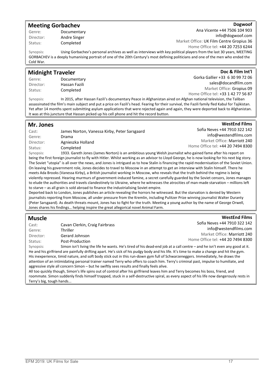#### Meeting Gorbachev

Director: Andre Singer Status: Completed

Genre: Documentary

#### Dogwoof

Doc & Film Int'l

WestEnd Films

Ana Vicente +44 7506 104 903 info@dogwoof.com Market Office: UK Film Centre Gropius 36 Home Office tel: +44 20 7253 6244

Synopsis: Using Gorbachev's personal archives as well as interviews with key political players from the last 30 years, MEETING GORBACHEV is a deeply humanising portrait of one of the 20th Century's most defining politicians and one of the men who ended the Cold War.

#### Midnight Traveler

Genre: Documentary Director: Hassan Fazili Status: Completed

Gorka Gallier +33 6 30 99 72 06 sales@docandfilm.com Market Office: Gropius 09 Home Office tel: +33 1 42 77 56 87

Synopsis: In 2015, after Hassan Fazili's documentary Peace in Afghanistan aired on Afghan national television, the Taliban assassinated the film's main subject and put a price on Fazili's head. Fearing for their survival, the Fazili family fled Kabul for Tajikistan. Yet after 14 months spent submitting asylum applications that were rejected again and again, they were deported back to Afghanistan. It was at this juncture that Hassan picked up his cell phone and hit the record button.

| Mr. Jones |                                                                                                              | <b>WestEnd Films</b>              |
|-----------|--------------------------------------------------------------------------------------------------------------|-----------------------------------|
| Cast:     | James Norton, Vanessa Kirby, Peter Sarsgaard                                                                 | Sofia Neves +44 7910 322 142      |
| Genre:    | Drama                                                                                                        | info@westendfilms.com             |
| Director: | Agnieszka Holland                                                                                            | Market Office: Marriott 240       |
| Status:   | Completed                                                                                                    | Home Office tel: +44 20 7494 8300 |
| Synopsis: | 1933. Gareth Jones (James Norton) is an ambitious young Welsh journalist who gained fame after his report on |                                   |

being the first foreign journalist to fly with Hitler. Whilst working as an advisor to Lloyd George, he is now looking for his next big story. The Soviet "utopia" is all over the news, and Jones is intrigued as to how Stalin is financing the rapid modernisation of the Soviet Union. On leaving his government role, Jones decides to travel to Moscow in an attempt to get an interview with Stalin himself. There he meets Ada Brooks (Vanessa Kirby), a British journalist working in Moscow, who reveals that the truth behind the regime is being violently repressed. Hearing murmurs of government-induced famine, a secret carefully guarded by the Soviet censors, Jones manages to elude the authorities and travels clandestinely to Ukraine, where he witnesses the atrocities of man-made starvation – millions left to starve – as all grain is sold abroad to finance the industrialising Soviet empire.

Deported back to London, Jones publishes an article revealing the horrors he witnessed. But the starvation is denied by Western journalists reporting from Moscow, all under pressure from the Kremlin, including Pulitzer Prize winning journalist Walter Duranty (Peter Sarsgaard). As death threats mount, Jones has to fight for the truth. Meeting a young author by the name of George Orwell, Jones shares his findings… helping inspire the great allegorical novel Animal Farm.

#### Muscle

| Cast:                 | Cavan Clerkin, Craig Fairbrass                                                                                           | Sofia Neves +44 7910 322 142      |
|-----------------------|--------------------------------------------------------------------------------------------------------------------------|-----------------------------------|
| Genre:                | Thriller                                                                                                                 | info@westendfilms.com             |
| Director:             | Gerard Johnson                                                                                                           | Market Office: Marriott 240       |
| Status:               | Post-Production                                                                                                          | Home Office tel: +44 20 7494 8300 |
| Synoncic <sup>.</sup> | Simon isn't living the life he wants. He's tired of his dead-end joh at a call centre — and he isn't even any good at it |                                   |

Simon isn't living the life he wants. He's tired of his dead-end job at a call centre He and his girlfriend are painfully drifting apart. He's sick of his pudgy body and his life. It's time to make a change and hit the gym. His inexperience, timid nature, and soft body stick out in this run-down gym full of Schwarzeneggers. Immediately, he draws the attention of an intimidating personal trainer named Terry who offers to coach him. Terry's criminal past, impulse to humiliate, and aggressive style all concern Simon – but he swiftly sees results and finally feels alive.

All too quickly though, Simon's life spins out of control after his girlfriend leaves him and Terry becomes his boss, friend, and roommate. Simon suddenly finds himself trapped, stuck in a self-destructive spiral, as every aspect of his life now dangerously rests in Terry's big, tough hands...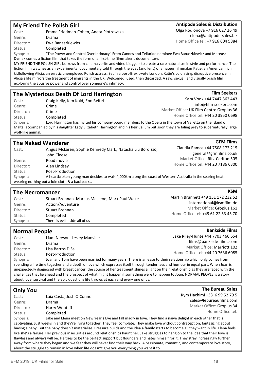#### My Friend The Polish Girl

Cast: Emma Friedman-Cohen, Aneta Piotrowska Genre: Drama Director: Ewa Banaszkiewicz Status: Completed

#### Antipode Sales & Distribution Olga Rodionova +7 916 027 26 49

elena@antipode-sales.biz Home Office tel: +7 916 604 5884

**Film Seekers** 

**KSM** 

Sara Vonk +44 7447 362 443 info@film-seekers.com

Market Office: UK Film Centre Gropius 36 Home Office tel: +44 20 3950 0698

Martin Brunnett +49 151 172 232 52

Home Office tel: +49 61 22 53 45 70

international@ksmfilm.de Market Office: Gropius 161

**Bankside Films** 

**The Bureau Sales** 

Synopsis: "The Power and Control Over Intimacy" From Cannes and Telluride nominee Ewa Banaszkiewicz and Mateusz Dymek comes a fiction film that takes the form of a first-time filmmaker's documentary.

MY FRIEND THE POLISH GIRL borrows from cinema verite and video bloggers to create a rare naturalism in style and performance. The fiction film watches as an experimental documentary told through the eyes (and lens) of amateur filmmaker Katie: an American rich kidfollowing Alicja, an erratic unemployed Polish actress. Set in a post-Brexit-vote London, Katie's colonising, disruptive presence in Alicja's life mirrors the treatment of migrants in the UK: Welcomed, used, then discarded. A raw, sexual, and visually brash film exploring the abusive power and control over someone's intimacy.

#### The Mysterious Death Of Lord Harrington

Cast: Craig Kelly, Kim Kold, Enn Reitel Genre: Crime Director: Crime Status: Completed Synopsis: Lord Harrington has invited his company board members to the Opera in the town of Valletta on the Island of Malta, accompanied by his daughter Lady Elizabeth Harrington and his heir Callum but soon they are faling prey to supernaturally large

wolf-like animal.

| <b>The Naked Wanderer</b>                                                                                                                                               |                                                                           | <b>GFM Films</b>                                         |
|-------------------------------------------------------------------------------------------------------------------------------------------------------------------------|---------------------------------------------------------------------------|----------------------------------------------------------|
| Cast:                                                                                                                                                                   | Angus McLaren, Sophie Kennedy Clark, Natasha Liu Bordizzo,<br>John Cleese | Claudia Ramos +44 7508 172 215<br>general@gfmfilms.co.uk |
| Genre:                                                                                                                                                                  | Road movie                                                                | Market Office: Ritz-Carlton 505                          |
| Director:                                                                                                                                                               | Alan Lindsay                                                              | Home Office tel: +44 20 7186 6300                        |
| Status:                                                                                                                                                                 | Post-Production                                                           |                                                          |
| A heartbroken young man decides to walk 4,000km along the coast of Western Australia in the searing heat,<br>Synopsis:<br>wearing nothing but a loin cloth & a backpack |                                                                           |                                                          |

#### The Necromancer

| Cast:     | Stuart Brennan, Marcus Macleod, Mark Paul Wake |
|-----------|------------------------------------------------|
| Genre:    | Action/Adventure                               |
| Director: | <b>Stuart Brennan</b>                          |
| Status:   | Completed                                      |
| Synopsis: | There is evil inside all of us                 |
|           |                                                |

#### Normal People

| Cast:     | Liam Neeson, Lesley Manville                                                                                | Jake Riley-Hunte +44 7703 466 654                                                                                                  |
|-----------|-------------------------------------------------------------------------------------------------------------|------------------------------------------------------------------------------------------------------------------------------------|
| Genre:    | Drama                                                                                                       | films@bankside-films.com                                                                                                           |
| Director: | Lisa Barros D'Sa                                                                                            | Market Office: Marriott 102                                                                                                        |
| Status:   | Post-Production                                                                                             | Home Office tel: +44 20 7636 6085                                                                                                  |
| Synopsis: | Joan and Tom have been married for many years. There is an ease to their relationship which only comes from |                                                                                                                                    |
|           |                                                                                                             | spending a life time together and a denth of love which expresses itself through tenderness and humour in equal part. When Joan is |

epth of love which expresses itself through tenderness and humour in equal part. When Joan is unexpectedly diagnosed with breast cancer, the course of her treatment shines a light on their relationship as they are faced with the challenges that lie ahead and the prospect of what might happen if something were to happen to Joan. NORMAL PEOPLE is a story about love, survival and the epic questions life throws at each and every one of us.

#### Only You

| Cast:                                                                                                                                                                                                                                                                             | Laia Costa, Josh O'Connor                                                                                     | Rym Hachimi +33 6 99 52 79 5 |
|-----------------------------------------------------------------------------------------------------------------------------------------------------------------------------------------------------------------------------------------------------------------------------------|---------------------------------------------------------------------------------------------------------------|------------------------------|
| Genre:                                                                                                                                                                                                                                                                            | Drama                                                                                                         | sales@lebureaufilms.com      |
| Director:                                                                                                                                                                                                                                                                         | Harry Wootliff                                                                                                | Market Office: Gropius 34    |
| Status:                                                                                                                                                                                                                                                                           | Completed                                                                                                     | Home Office tel:             |
| Synopsis:                                                                                                                                                                                                                                                                         | Jake and Elena meet on New Year's Eve and fall madly in love. They find a naïve delight in each other that is |                              |
| captivating. Just weeks in and they're living together. They feel complete. They make love without contraception, fantasizing about<br>having a baby. But the baby doesn't materialise. Pressure builds and the idea a family starts to become all they want in life. Elena feels |                                                                                                               |                              |

having a baby. But the baby doesn't materialise. Pressure builds and the idea a family starts to become all they want in life. Elena feels like she's a failure. Her previous insecurities around relationships haunt her. Jake struggles to hang on to the idea that their love is flawless and always will be. He tries to be the perfect support but flounders and hates himself for it. They stray increasingly further away from where they began and we fear they will never find their way back. A passionate, romantic, and contemporary love story, about the struggle to remain in love when life doesn't give you everything you want it to.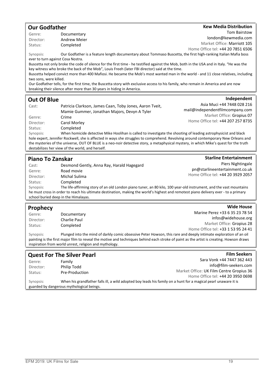#### Our Godfather

#### **Kew Media Distribution**

Genre: Documentary Director: Andrew Meier Status: Completed

Tom Bairstow london@kewmedia.com Market Office: Marriott 105 Home Office tel: +44 20 7851 6506

Synopsis: Our Godfather is a feature length documentary about Tommaso Buscetta, the first high-ranking Italian Mafia boss ever to turn against Cosa Nostra.

Buscetta not only broke the code of silence for the first time - he testified against the Mob, both in the USA and in Italy. "He was the key witness who broke the back of the Mob", Louis Freeh (later FBI director) said at the time.

Buscetta helped convict more than 400 Mafiosi. He became the Mob's most wanted man in the world - and 11 close relatives, including two sons, were killed.

Our Godfather tells, for the first time, the Buscetta story with exclusive access to his family, who remain in America and are now breaking their silence after more than 30 years in hiding in America.

#### Out Of Blue

#### **Independent**

**Starline Entertainment** 

Wide House

| Cast:     | Patricia Clarkson, James Caan, Toby Jones, Aaron Tveit,                                                                            | Asia Muci +44 7448 028 216        |
|-----------|------------------------------------------------------------------------------------------------------------------------------------|-----------------------------------|
|           | Mamie Gummer, Jonathan Majors, Devyn A Tyler                                                                                       | mail@independentfilmcompany.com   |
| Genre:    | Crime                                                                                                                              | Market Office: Gropius 07         |
| Director: | Carol Morley                                                                                                                       | Home Office tel: +44 207 257 8735 |
| Status:   | Completed                                                                                                                          |                                   |
| Synopsis: | When homicide detective Mike Hoolihan is called to investigate the shooting of leading astrophysicist and black                    |                                   |
|           | hole expert. Jennifer Rockwell, she is affected in ways she struggles to comprehend. Revolving around contemporary New Orleans and |                                   |

hole expert, Jennifer Rockwell, she is affected in ways she struggles to comprehend. Revolving around contemporary New Orleans and the mysteries of the universe, OUT OF BLUE is a neo-noir detective story, a metaphysical mystery, in which Mike's quest for the truth destabilizes her view of the world, and herself.

#### Piano To Zanskar

| Cast:     | Desmond Gently, Anna Ray, Harald Hagegard                                                                                            | Piers Nightingale                 |
|-----------|--------------------------------------------------------------------------------------------------------------------------------------|-----------------------------------|
| Genre:    | Road movie                                                                                                                           | pn@starlineentertainment.co.uk    |
| Director: | Michal Sulima                                                                                                                        | Home Office tel: +44 20 3929 2057 |
| Status:   | Completed                                                                                                                            |                                   |
| Synopsis: | The life-affirming story of an old London piano tuner, an 80 kilo, 100 year-old instrument, and the vast mountains                   |                                   |
|           | he must cross in order to reach his ultimate destination, making the world's highest and remotest piano delivery ever - to a primary |                                   |

school buried deep in the Himalayas.

#### **Prophecy**

| . 1       |              |                                    |
|-----------|--------------|------------------------------------|
| Genre:    | Documentary  | Marine Perez +33 6 35 23 78 54     |
| Director: | Charlie Paul | infos@widehouse.org                |
| Status:   | Completed    | Market Office: Gropius 28          |
|           |              | Home Office tel: +33 1 53 95 24 41 |

Synopsis: Plunged into the mind of darkly comic obsessive Peter Howson, this rare and deeply intimate exploration of an oil painting is the first major film to reveal the motive and techniques behind each stroke of paint as the artist is creating. Howson draws inspiration from world unrest, religion and mythology.

| <b>Quest For The Silver Pearl</b>         |                                                                                                                 | <b>Film Seekers</b>                      |
|-------------------------------------------|-----------------------------------------------------------------------------------------------------------------|------------------------------------------|
| Genre:                                    | Family                                                                                                          | Sara Vonk +44 7447 362 443               |
| Director:                                 | Philip Todd                                                                                                     | info@film-seekers.com                    |
| Status:                                   | Pre-Production                                                                                                  | Market Office: UK Film Centre Gropius 36 |
|                                           |                                                                                                                 | Home Office tel: +44 20 3950 0698        |
| Synopsis:                                 | When his grandfather falls ill, a wild adopted boy leads his family on a hunt for a magical pearl unaware it is |                                          |
| guarded by dangerous mythological beings. |                                                                                                                 |                                          |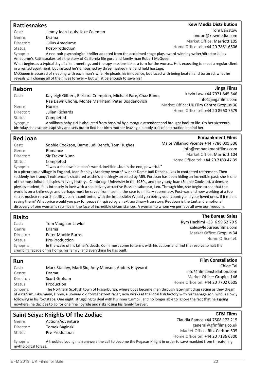| <b>Rattlesnakes</b>  |                                                                                                                                                                                                                                                             | <b>Kew Media Distribution</b>                                   |
|----------------------|-------------------------------------------------------------------------------------------------------------------------------------------------------------------------------------------------------------------------------------------------------------|-----------------------------------------------------------------|
| Cast:                | Jimmy Jean-Louis, Jake Coleman                                                                                                                                                                                                                              | <b>Tom Bairstow</b>                                             |
| Genre:               | Drama                                                                                                                                                                                                                                                       | london@kewmedia.com                                             |
| Director:            | Julius Amedume                                                                                                                                                                                                                                              | Market Office: Marriott 105                                     |
| Status:              | Post-Production                                                                                                                                                                                                                                             | Home Office tel: +44 20 7851 6506                               |
| Synopsis:            | A neo-noir psychological thriller adapted from the acclaimed stage-play, award-winning writer/director Julius<br>Amedume's Rattlesnakes tells the story of California life guru and family man Robert McQueen.                                              |                                                                 |
|                      | What begins as a typical day of client meetings and therapy sessions takes a turn for the worse He's expecting to meet a regular client<br>in a rented apartment, but instead he's ambushed by three masked men and held hostage.                           |                                                                 |
|                      | McQueen is accused of sleeping with each man's wife. He pleads his innocence, but faced with being beaten and tortured, what he                                                                                                                             |                                                                 |
|                      | reveals will change all of their lives forever - but will it be enough to save his?                                                                                                                                                                         |                                                                 |
|                      |                                                                                                                                                                                                                                                             |                                                                 |
| Reborn               |                                                                                                                                                                                                                                                             | <b>Jinga Films</b><br>Kevin Law +44 7971 845 546                |
| Cast:                | Kayleigh Gilbert, Barbara Crampton, Michael Pare, Chaz Bono,                                                                                                                                                                                                |                                                                 |
|                      | Rae Dawn Chong, Monte Markham, Peter Bogdanovich                                                                                                                                                                                                            | info@jingafilms.com<br>Market Office: UK Film Centre Gropius 36 |
| Genre:               | Horror                                                                                                                                                                                                                                                      | Home Office tel: +44 20 8960 7679                               |
| Director:            | Julian Richards                                                                                                                                                                                                                                             |                                                                 |
| Status:              | Completed                                                                                                                                                                                                                                                   |                                                                 |
| Synopsis:            | A stillborn baby girl is abducted from hospital by a morgue attendant and brought back to life. On her sixteenth<br>birthday she escapes captivity and sets out to find her birth mother leaving a bloody trail of destruction behind her.                  |                                                                 |
|                      |                                                                                                                                                                                                                                                             |                                                                 |
| <b>Red Joan</b>      |                                                                                                                                                                                                                                                             | <b>Embankment Films</b>                                         |
| Cast:                | Sophie Cookson, Dame Judi Dench, Tom Hughes                                                                                                                                                                                                                 | Maite Villarino Vicente +44 7786 005 306                        |
| Genre:               | Romance                                                                                                                                                                                                                                                     | info@embankmentfilms.com                                        |
| Director:            | Sir Trevor Nunn                                                                                                                                                                                                                                             | Market Office: Marriott 104                                     |
| Status:              | Completed                                                                                                                                                                                                                                                   | Home Office tel: +44 20 7183 47 39                              |
| Synopsis:            | "I was a shadow in a man's world. Invisiblebut in the end, powerful."                                                                                                                                                                                       |                                                                 |
|                      | In a picturesque village in England, Joan Stanley (Academy Award® winner Dame Judi Dench), lives in contented retirement. Then                                                                                                                              |                                                                 |
|                      | suddenly her tranquil existence is shattered as she's shockingly arrested by MI5. For Joan has been hiding an incredible past; she is one                                                                                                                   |                                                                 |
|                      | of the most influential spies in living history Cambridge University in the 1930s, and the young Joan (Sophie Cookson), a demure                                                                                                                            |                                                                 |
|                      | physics student, falls intensely in love with a seductively attractive Russian saboteur, Leo. Through him, she begins to see that the                                                                                                                       |                                                                 |
|                      |                                                                                                                                                                                                                                                             |                                                                 |
|                      | world is on a knife-edge and perhaps must be saved from itself in the race to military supremacy. Post-war and now working at a top                                                                                                                         |                                                                 |
|                      | secret nuclear research facility, Joan is confronted with the impossible: Would you betray your country and your loved ones, if it meant                                                                                                                    |                                                                 |
|                      | saving them? What price would you pay for peace? Inspired by an extraordinary true story, Red Joan is the taut and emotional<br>discovery of one woman's sacrifice in the face of incredible circumstances. A woman to whom we perhaps all owe our freedom. |                                                                 |
|                      |                                                                                                                                                                                                                                                             |                                                                 |
| <b>Rialto</b>        |                                                                                                                                                                                                                                                             | <b>The Bureau Sales</b>                                         |
| Cast:                |                                                                                                                                                                                                                                                             | Rym Hachimi +33 6 99 52 79 5                                    |
| Genre:               | Tom Vaughan-Lawlor<br>Drama                                                                                                                                                                                                                                 | sales@lebureaufilms.com                                         |
| Director:            | <b>Peter Mackie Burns</b>                                                                                                                                                                                                                                   | Market Office: Gropius 34                                       |
| Status:              | Pre-Production                                                                                                                                                                                                                                              | Home Office tel:                                                |
| Synopsis:            | In the wake of his father's death, Colm must come to terms with his actions and find the resolve to halt the                                                                                                                                                |                                                                 |
|                      | crumbing facade of his home, his family, and everything he has built.                                                                                                                                                                                       |                                                                 |
|                      |                                                                                                                                                                                                                                                             |                                                                 |
| Run                  |                                                                                                                                                                                                                                                             | <b>Film Constellation</b>                                       |
| Cast:                | Mark Stanley, Marli Siu, Amy Manson, Anders Hayward                                                                                                                                                                                                         | Chloe Tai                                                       |
| Genre:               | Drama                                                                                                                                                                                                                                                       | info@filmconstellation.com                                      |
| Director:            | Scott Graham                                                                                                                                                                                                                                                | Market Office: Gropius 146                                      |
| Status:              | Production                                                                                                                                                                                                                                                  | Home Office tel: +44 20 7702 0605                               |
| Synopsis:            | The Northern Scottish town of Fraserburgh; where boys become men through late-night drag racing as they dream                                                                                                                                               |                                                                 |
|                      | of escapism. Like many, Finnie, a 36-year old former street racer, now works at the local fish factory with his teenage son, who is slowly                                                                                                                  |                                                                 |
|                      | following in his footsteps. One night, struggling to deal with his inner turmoil, and no longer able to ignore the fact that he's going                                                                                                                     |                                                                 |
|                      | nowhere, he decides to go for one final joyride and risks losing his family forever.                                                                                                                                                                        |                                                                 |
|                      |                                                                                                                                                                                                                                                             | <b>GFM Films</b>                                                |
|                      | <b>Saint Seiya: Knights Of The Zodiac</b>                                                                                                                                                                                                                   | Claudia Ramos +44 7508 172 215                                  |
| Genre:               | Action/Adventure                                                                                                                                                                                                                                            | general@gfmfilms.co.uk                                          |
| Director:            | Tomek Baginski                                                                                                                                                                                                                                              | Market Office: Ritz-Carlton 505                                 |
| Status:              | Pre-Production                                                                                                                                                                                                                                              | Home Office tel: +44 20 7186 6300                               |
| Synopsis:            | A troubled young man answers the call to become the Pegasus Knight in order to save mankind from threatening                                                                                                                                                |                                                                 |
| mythological forces. |                                                                                                                                                                                                                                                             |                                                                 |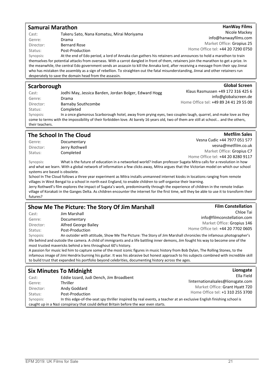#### Samurai Marathon

| Cast:     | Takeru Sato, Nana Komatsu, Mirai Moriyama            |
|-----------|------------------------------------------------------|
| Genre:    | Drama                                                |
| Director: | <b>Bernard Rose</b>                                  |
| Status:   | Post-Production                                      |
| Synopsis: | At the end of Edo period, a lord of Annaka clan gath |
|           |                                                      |

Market Office: Gropius 25 Home Office tel: +44 20 7290 0750 Synopsis: At the end of Edo period, a lord of Annaka clan gathers his retainers and announces to hold a marathon to train

themselves for potential attacks from overseas. With a carrot dangled in front of them, retainers join the marathon to get a prize. In the meanwhile, the central Edo government sends an assassin to kill the Annaka lord, after receiving a message from their spy Jinnai who has mistaken the assembly as a sign of rebellion. To straighten out the fatal misunderstanding, Jinn desperately to save the domain head from the assassin.

#### **Scarborough**

| Jodhi May, Jessica Barden, Jordan Bolger, Edward Hogg<br>info@globalscreen.de<br>Genre:<br>Drama<br>Home Office tel: +49 89 24 41 29 55 00<br>Barnaby Southcombe<br>Director:<br>Completed<br>Status: | Klaus Rasmussen +49 172 316 425 6 |
|-------------------------------------------------------------------------------------------------------------------------------------------------------------------------------------------------------|-----------------------------------|
|                                                                                                                                                                                                       |                                   |
|                                                                                                                                                                                                       |                                   |
|                                                                                                                                                                                                       |                                   |
| In a once glamorous Scarborough hotel, away from prying eyes, two couples laugh, quarrel, and make love as they<br>Synopsis:                                                                          |                                   |
| come to terms with the impossibility of their forbidden love. At barely 16 years old, two of them are still at school and the others,                                                                 |                                   |
| their teachers.                                                                                                                                                                                       |                                   |

#### The School In The Cloud

Genre: Documentary Director: Jerry Rothwell Status: Completed

**Metfilm Sales** Vesna Cudic +44 7977 051 577 vesna@metfilm.co.uk Market Office: Gropius C7

Home Office tel: +44 20 8280 9117

Synopsis: What is the future of education in a networked world? Indian professor Sugata Mitra calls for a revolution in how and what we learn. With a global network of information a few clicks away, Mitra argues that the Victorian model on which our school systems are based is obsolete.

School In The Cloud follows a three year experiment as Mitra installs unmanned internet kiosks in locations ranging from remote villages in West Bengal to a school in north east England, to enable children to self-organise their learning.

Jerry Rothwell's film explores the impact of Sugata's work, predominantly through the experience of children in the remote Indian village of Korakati in the Ganges Delta. As children encounter the internet for the first time, will they be able to use it to transform their futures?

#### Show Me The Picture: The Story Of Jim Marshall

Cast: Jim Marshall Genre: Documentary Director: Alfred George Bailey Status: Post-Production

Chloe Tai info@filmconstellation.com Market Office: Gropius 146 Home Office tel: +44 20 7702 0605

**Film Constellation** 

Synopsis: An outsider with attitude, Show Me The Picture: The Story of Jim Marshall chronicles the infamous photographer's life behind and outside the camera. A child of immigrants and a life battling inner demons, Jim fought his way to become one of the most trusted mavericks behind a lens throughout 60's history.

A passion for music led him to capture some of the most iconic figures in music history from Bob Dylan, The Rolling Stones, to the infamous image of Jimi Hendrix burning his guitar. It was his abrasive but honest approach to his subjects combined with incredible skill to build trust that expanded his portfolio beyond celebrities, documenting history across the ages.

#### Six Minutes To Midnight Cast: Eddie Izzard, Judi Dench, Jim Broadbent Genre: Thriller Director: Andy Goddard Status: Post-Production Lionsgate Ella Field !internationalsales@lionsgate.com Market Office: Grant Hyatt 720 Home Office tel: +1 310 255 3700 Synopsis: In this edge-of-the-seat spy thriller inspired by real events, a teacher at an exclusive English finishing school is caught up in a Nazi conspiracy that could defeat Britain before the war even starts.

#### **HanWay Films** Nicole Mackey

info@hanwayfilms.com

| ai and other retainers run |
|----------------------------|
| <b>Global Screen</b>       |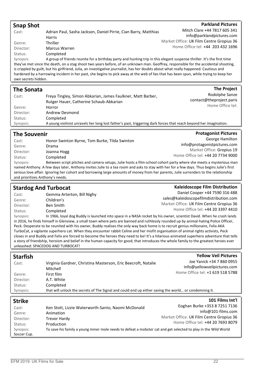| <b>Snap Shot</b>                 |                                                                                                                                                                                                                                                                          | <b>Parkland Pictures</b>                                                      |
|----------------------------------|--------------------------------------------------------------------------------------------------------------------------------------------------------------------------------------------------------------------------------------------------------------------------|-------------------------------------------------------------------------------|
| Cast:                            | Adrian Paul, Sasha Jackson, Daniel Pirrie, Cian Barry, Matthias                                                                                                                                                                                                          | Mitch Clare +44 7817 605 341                                                  |
|                                  | Harris                                                                                                                                                                                                                                                                   | info@parklandpictures.com                                                     |
| Genre:                           | Thriller                                                                                                                                                                                                                                                                 | Market Office: UK Film Centre Gropius 36<br>Home Office tel: +44 203 432 1696 |
| Director:                        | Marcus Warren                                                                                                                                                                                                                                                            |                                                                               |
| Status:                          | Completed                                                                                                                                                                                                                                                                |                                                                               |
| Synopsis:                        | A group of friends reunite for a birthday party and hunting trip in this elegant suspense thriller. It's the first time<br>they've met since the death, on a stag shoot two years before, of an unknown man. Geoffrey, responsible for the accidental shooting,          |                                                                               |
|                                  | is crippled by guilt, but his girlfriend, Julia, an investigative journalist, has her doubts about what really happened. Cautious and                                                                                                                                    |                                                                               |
|                                  | hardened by a harrowing incident in her past, she begins to pick away at the web of lies that has been spun, while trying to keep her                                                                                                                                    |                                                                               |
| own secrets hidden.              |                                                                                                                                                                                                                                                                          |                                                                               |
| <b>The Sonata</b>                |                                                                                                                                                                                                                                                                          | <b>The Project</b>                                                            |
| Cast:                            | Freya Tingley, Simon Abkarian, James Faulkner, Matt Barber,                                                                                                                                                                                                              | Rodolphe Sanze                                                                |
|                                  | Rutger Hauer, Catherine Schaub-Abkarian                                                                                                                                                                                                                                  | contact@theproject.paris                                                      |
| Genre:                           | Horror                                                                                                                                                                                                                                                                   | Home Office tel:                                                              |
| Director:                        | Andrew Desmond                                                                                                                                                                                                                                                           |                                                                               |
| Status:                          | Completed                                                                                                                                                                                                                                                                |                                                                               |
| Synopsis:                        | A young violinist unravels her long lost father's past, triggering dark forces that reach beyond her imagination.                                                                                                                                                        |                                                                               |
| <b>The Souvenir</b>              |                                                                                                                                                                                                                                                                          | <b>Protagonist Pictures</b>                                                   |
| Cast:                            | Honor Swinton Byrne, Tom Burke, Tilda Swinton                                                                                                                                                                                                                            | George Hamilton                                                               |
| Genre:                           | Drama                                                                                                                                                                                                                                                                    | info@protagonistpictures.com                                                  |
| Director:                        | Joanna Hogg                                                                                                                                                                                                                                                              | Market Office: Gropius 19                                                     |
| Status:                          | Completed                                                                                                                                                                                                                                                                | Home Office tel: +44 20 7734 9000                                             |
| Synopsis:                        | Between script pitches and camera setups, Julie hosts a film-school cohort party where she meets a mysterious man                                                                                                                                                        |                                                                               |
|                                  | named Anthony. A few days later, Anthony invites Julie to a tea room and asks to stay with her for a few days. Thus begins Julie's first                                                                                                                                 |                                                                               |
| and prioritizes Anthony's needs. | serious love affair. Ignoring her cohort and borrowing large amounts of money from her parents, Julie surrenders to the relationship                                                                                                                                     |                                                                               |
|                                  |                                                                                                                                                                                                                                                                          |                                                                               |
|                                  |                                                                                                                                                                                                                                                                          |                                                                               |
| <b>Stardog And Turbocat</b>      |                                                                                                                                                                                                                                                                          | <b>Kaleidoscope Film Distribution</b>                                         |
| Cast:                            | Gemma Arterton, Bill Nighy                                                                                                                                                                                                                                               | Daniel Cooper +44 7590 316 488                                                |
| Genre:                           | Children's                                                                                                                                                                                                                                                               | sales@kaleidoscopefilmdistribution.com                                        |
| Director:                        | <b>Ben Smith</b>                                                                                                                                                                                                                                                         | Market Office: UK Film Centre Gropius 36                                      |
| Status:                          | Completed                                                                                                                                                                                                                                                                | Home Office tel: +44 20 3397 4410                                             |
| Synopsis:                        | In 1966, loyal dog Buddy is launched into space in a NASA rocket by his owner, scientist David. When he crash lands                                                                                                                                                      |                                                                               |
|                                  | in 2016, he finds himself in Glenview, a small town where pets are banned and ruthlessly rounded up by animal-hating Police Officer,<br>Peck. Desperate to be reunited with his owner, Buddy realises the only way back home is to recruit genius millionaire, Felix AKA |                                                                               |
|                                  | TurboCat, a vigilante superhero cat. When they encounter rabbit Celine and her misfit organisation of animal rights activists, Peck                                                                                                                                      |                                                                               |
|                                  | closes in and Buddy and Felix are forced to become the heroes they need to be! It's a hilarious animated superhero adventure that tells                                                                                                                                  |                                                                               |
|                                  | a story of friendship, heroism and belief in the human capacity for good; that introduces the whole family to the greatest heroes ever<br>unleashed: SPACEDOG AND TURBOCAT!                                                                                              |                                                                               |
|                                  |                                                                                                                                                                                                                                                                          |                                                                               |
| <b>Starfish</b>                  |                                                                                                                                                                                                                                                                          | <b>Yellow Veil Pictures</b>                                                   |
| Cast:                            | Virginia Gardner, Christina Masterson, Eric Beecroft, Natalie                                                                                                                                                                                                            | Joe Yanick +34 7 860 0955                                                     |
|                                  | Mitchell                                                                                                                                                                                                                                                                 | info@yellowveilpictures.com                                                   |
| Genre:                           | First film                                                                                                                                                                                                                                                               | Home Office tel: +1 619 518 5788                                              |
| Director:                        | A.T. White                                                                                                                                                                                                                                                               |                                                                               |
| Status:                          | Completed                                                                                                                                                                                                                                                                |                                                                               |
| Synopsis:                        | that will unlock the secrets of The Signal and could end up either saving the world or condemning it.                                                                                                                                                                    |                                                                               |
| <b>Strike</b>                    |                                                                                                                                                                                                                                                                          | 101 Films Int'l                                                               |
| Cast:                            | Ken Stott, Lizzie Waterworth-Santo, Naomi McDonald                                                                                                                                                                                                                       | Eoghan Burke +353 8 7251 7136                                                 |
| Genre:                           | Animation                                                                                                                                                                                                                                                                | info@101-films.com                                                            |
| Director:                        | <b>Trevor Hardy</b>                                                                                                                                                                                                                                                      | Market Office: UK Film Centre Gropius 36<br>Home Office tel: +44 20 7693 8079 |
| Status:                          | Production                                                                                                                                                                                                                                                               |                                                                               |
| Synopsis:<br>Soccer Cup.         | To save his family a young miner mole needs to defeat a mobster cat and get selected to play in the Wild World                                                                                                                                                           |                                                                               |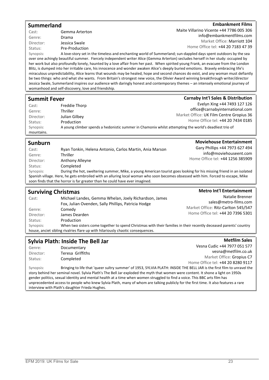#### Summerland

#### **Embankment Films**

Cast: Gemma Arterton Genre: Drama Director: Jessica Swale Status: Pre-Production

Maite Villarino Vicente +44 7786 005 306 info@embankmentfilms.com Market Office: Marriott 104 Home Office tel: +44 20 7183 47 39

Synopsis: A love-story set in the timeless and enchanting world of Summerland; sun-dappled days spent outdoors by the sea over one achingly beautiful summer. Fiercely independent writer Alice (Gemma Arterton) secludes herself in her study: occupied by her work but also profoundly lonely, haunted by a love affair from her past. When spirited young Frank, an evacuee from the London Blitz, is dumped into her irritable care, his innocence and wonder awaken Alice's deeply buried emotions. Bravely embracing life's miraculous unpredictability, Alice learns that wounds may be healed, hope and second chances do exist, and any woman must defiantly be two things: who and what she wants. From Britain's strongest new voice, the Olivier Award winning breakthrough writer/director Jessica Swale, Summerland inspires our audience with daringly honest and contemporary themes – an intensely emotional journey of womanhood and self-discovery, love and friendship.

#### Summit Fever

| Summit Fever |                 | <b>Carnaby Int'l Sales &amp; Distribution</b>                                                          |
|--------------|-----------------|--------------------------------------------------------------------------------------------------------|
| Cast:        | Freddie Thorp   | Evelyn Xing +44 7493 127 126                                                                           |
| Genre:       | <b>Thriller</b> | office@carnabyinternational.com                                                                        |
| Director:    | Julian Gilbey   | Market Office: UK Film Centre Gropius 36<br>Home Office tel: +44 20 7434 0185                          |
| Status:      | Production      |                                                                                                        |
| Synopsis:    |                 | A young climber spends a hedonistic summer in Chamonix whilst attempting the world's deadliest trio of |
| mountains.   |                 |                                                                                                        |

#### Sunburn

| Cast:     | Ryan Tonkin, Helena Antonio, Carlos Martin, Ania Marson                                                                          | Gary Phillips +44 7973 627 494   |
|-----------|----------------------------------------------------------------------------------------------------------------------------------|----------------------------------|
| Genre:    | Thriller                                                                                                                         | info@moviehouseent.com           |
| Director: | Anthony Alleyne                                                                                                                  | Home Office tel: +44 1256 385909 |
| Status:   | Completed                                                                                                                        |                                  |
| Synopsis: | During the hot, sweltering summer, Mike, a young American tourist goes looking for his missing friend in an isolated             |                                  |
|           | Spanish village. Here, he gets embroiled with an alluring local woman who soon becomes obsessed with him. Forced to escape, Mike |                                  |
|           | soon finds that the horror is far greater than he could have ever imagined.                                                      |                                  |

#### Surviving Christmas Cast: Michael Landes, Gemma Whelan, Joely Richardson, James Fox, Julian Ovenden, Sally Phillips, Patricia Hodge Genre: Comedy Director: James Dearden Status: Production **Metro Int'l Entertainment** Natalie Brenner sales@metro-films.com Market Office: Ritz-Carlton 545/547 Home Office tel: +44 20 7396 5301 Synopsis: When two sisters come together to spend Christmas with their families in their recently deceased parents' country house, anciet sibling rivalries flare up with hilariously chaotic consequences.

#### Sylvia Plath: Inside The Bell Jar

Genre: Documentary Director: Teresa Griffiths Status: Completed

Vesna Cudic +44 7977 051 577 vesna@metfilm.co.uk Market Office: Gropius C7 Home Office tel: +44 20 8280 9117

**Metfilm Sales** 

**Moviehouse Entertainment** 

Synopsis: Bringing to life that 'queer sultry summer' of 1953, SYLVIA PLATH: INSIDE THE BELL JAR is the first film to unravel the story behind her seminal novel. Sylvia Plath's The Bell Jar exploded the myth that women were content. It shone a light on 1950s gender politics, sexual identity and mental health at a time when women struggled to find a voice. This BBC arts film has unprecedented access to people who knew Sylvia Plath, many of whom are talking publicly for the first time. It also features a rare interview with Plath's daughter Frieda Hughes.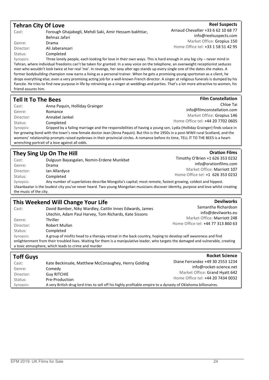| <b>Tehran City Of Love</b> |                                                                                                                                             | <b>Reel Suspects</b>                |
|----------------------------|---------------------------------------------------------------------------------------------------------------------------------------------|-------------------------------------|
| Cast:                      | Forough Ghajabegli, Mehdi Saki, Amir Hessam bakhtiar,                                                                                       | Arnaud Chevallier +33 6 62 10 68 77 |
|                            | Behnaz Jafari                                                                                                                               | info@reelsuspects.com               |
| Genre:                     | Drama                                                                                                                                       | Market Office: Gropius 150          |
| Director:                  | Ali Jaberansari                                                                                                                             | Home Office tel: +33 1 58 51 42 95  |
| Status:                    | Completed                                                                                                                                   |                                     |
| Synopsis:                  | Three lonely people, each looking for love in their own ways. This is hard enough in any big city – never mind in                           |                                     |
|                            | Tehran, where individual freedoms can't be taken for granted. In a sexy voice on the telephone, an overweight receptionist seduces          |                                     |
|                            | men who wouldn't look twice at her real 'me'. In revenge, her sexy alter ego stands up every single one of the dates she makes. A           |                                     |
|                            | former bodybuilding champion now earns a living as a personal trainer. When he gets a promising young sportsman as a client, he             |                                     |
|                            | drops everything else; even a very promising acting job for a well-known French director. A singer at religious funerals is dumped by his   |                                     |
|                            | fiancée. He tries to find new purpose in life by retraining as a singer at weddings and parties. That's a lot more attractive to women, his |                                     |
| friend assures him.        |                                                                                                                                             |                                     |
|                            |                                                                                                                                             |                                     |
| <b>Tell It To The Bees</b> |                                                                                                                                             | <b>Film Constellation</b>           |
| Cast:                      | Anna Paquin, Holliday Grainger                                                                                                              | Chloe Tai                           |
| Genre:                     | Romance                                                                                                                                     | info@filmconstellation.com          |
|                            |                                                                                                                                             |                                     |

Director: Annabel Jankel Status: Completed Market Office: Gropius 146 Home Office tel: +44 20 7702 0605 Synopsis: Gripped by a failing marriage and the responsibilities of having a young son, Lydia (Holliday Grainger) finds solace in her growing bond with the town's new female doctor Jean (Anna Paquin). But this is the 1950s in a post-WWII rural Scotland, and the

womens' relationship prompts raised eyebrows in their provincial circles. A romance before its time, TELL IT TO THE BEES is a heartwrenching portrait of a love against all odds.

## They Sing Up On The Hill

| Cast:                  | Dulguun Bayasgalan, Nomin-Erdene Munkbat                                                                                              | Timothy O'Brien +1 626 353 0232  |
|------------------------|---------------------------------------------------------------------------------------------------------------------------------------|----------------------------------|
| Genre:                 | Drama                                                                                                                                 | info@orationfilms.com            |
| Director:              | Ian Allardyce                                                                                                                         | Market Office: Marriott 107      |
| Status:                | Completed                                                                                                                             | Home Office tel: +1 626 353 0232 |
| Synopsis:              | Any number of superlatives describe Mongolia's capital; most remote, fastest growing, coldest and hippest.                            |                                  |
|                        | Ulaanbaatar is the loudest city you've never heard. Two young Mongolian musicians discover identity, purpose and love whilst creating |                                  |
| the music of the city. |                                                                                                                                       |                                  |

### This Weekend Will Change Your Life

|           | THIS ITCONGING ITTH CHAINSC TOME ENC                                                                                                 |                                           |
|-----------|--------------------------------------------------------------------------------------------------------------------------------------|-------------------------------------------|
| Cast:     | David Bamber, Niky Wardley, Caitlin Innes Edwards, James<br>Utechin, Adam Paul Harvey, Tom Richards, Kate Sissons                    | Samantha Richardson<br>info@devilworks.eu |
| Genre:    | <b>Thriller</b>                                                                                                                      | Market Office: Marriott 248               |
| Director: | Robert Mullan                                                                                                                        | Home Office tel: +44 77 313 860 63        |
| Status:   | Completed                                                                                                                            |                                           |
| Synopsis: | A group of misfits head to a therapy retreat in the back country, hoping to develop self awareness and find                          |                                           |
|           | enlightenment from their troubled lives. Waiting for them is a manipulative leader, who targets the damaged and vulnerable, creating |                                           |
|           | a toxic atmosphere, which leads to crime and murder                                                                                  |                                           |

| <b>Toff Guys</b> |                                                                                                                | <b>Rocket Science</b>             |
|------------------|----------------------------------------------------------------------------------------------------------------|-----------------------------------|
| Cast:            | Kate Beckinsale, Matthew McConaughey, Henry Golding                                                            | Diane Ferrandez +49 30 2553 1234  |
| Genre:           | Comedy                                                                                                         | info@rocket-science.net           |
| Director:        | <b>Guy RITCHIE</b>                                                                                             | Market Office: Grand Hyatt 642    |
| Status:          | Pre-Production                                                                                                 | Home Office tel: +44 20 7434 0032 |
| Synopsis:        | A very British drug lord tries to sell off his highly profitable empire to a dynasty of Oklahoma billionaires. |                                   |

#### **Devilworks**

**Oration Films**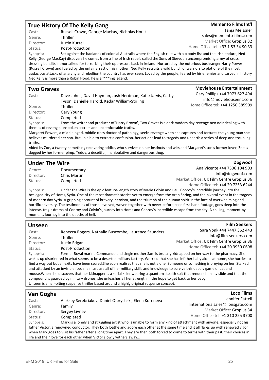#### True History Of The Kelly Gang

TMemento Films Int'l

Cast: Russell Crowe, George Mackay, Nicholas Hoult Genre: Thriller

Director: Justin Kurzel Status: Post-Production

Tanja Meissner sales@memento-films.com Market Office: Gropius 32 Home Office tel: +33 1 53 34 90 33

Moviehouse Entertainment

**Dogwoof** 

**Film Seekers** 

Synopsis: Set against the badlands of colonial Australia where the English rule with a bloody fist and the Irish endure, Ned Kelly (George MacKay) discovers he comes from a line of Irish rebels called the Sons of Sieve, an uncompromising army of cross dressing bandits immortalized for terrorizing their oppressors back in Ireland. Nurtured by the notorious bushranger Harry Power (Russell Crowe) and fueled by the unfair arrest of his mother, Ned Kelly recruits a wild bunch of warriors to plot one of the most audacious attacks of anarchy and rebellion the country has ever seen. Loved by the people, feared by his enemies and carved in history Ned Kelly is more than a Robin Hood, he is a f\*\*\*ing legend.

#### Two Graves

| Cast:     | Dave Johns, David Hayman, Josh Herdman, Katie Jarvis, Cathy<br>Tyson, Danielle Harold, Kedar William-Stirling                                                                 | Gary Phillips +44 7973 627 494<br>info@moviehouseent.com |
|-----------|-------------------------------------------------------------------------------------------------------------------------------------------------------------------------------|----------------------------------------------------------|
| Genre:    | <b>Thriller</b>                                                                                                                                                               | Home Office tel: +44 1256 385909                         |
| Director: | Gary Young                                                                                                                                                                    |                                                          |
| Status:   | Completed                                                                                                                                                                     |                                                          |
| Synopsis: | From the writer and producer of 'Harry Brown', Two Graves is a dark modern day revenge neo noir dealing with<br>themes of revenge, unspoken secrets and uncomfortable truths. |                                                          |

Margaret Powers, a middle-aged, middle class doctor of pathology, seeks revenge when she captures and tortures the young man she believes murdered her son. But, in a bid to extract a confession, her actions lead to tragedy and unearth a series of deep and troubling truths.

Aided by Zoe, a twenty-something recovering addict, who survives on her instincts and wits and Margaret's son's former lover, Zoe is dogged by her former pimp, Teddy, a deceitful, manipulative and dangerous thug.

#### Under The Wire

| Genre:    | Documentary  | Ana Vicente +44 7506 104 903             |
|-----------|--------------|------------------------------------------|
| Director: | Chris Martin | info@dogwoof.com                         |
| Status:   | Completed    | Market Office: UK Film Centre Gropius 36 |
|           |              | Home Office tel: +44 20 7253 6244        |

Synopsis: Under the Wire is the epic feature-length story of Marie Colvin and Paul Conroy's incredible journey into the besieged city of Homs, Syria. One of the most dramatic stories yet to emerge from the Arab Spring, and the pivotal event in the tragedy of modern day Syria. A gripping account of bravery, heroism, and the triumph of the human spirit in the face of overwhelming and horrific adversity. The testimonies of those involved, woven together with never-before-seen first-hand footage, goes deep into the intense, tragic drama of Conroy and Colvin's journey into Homs and Conroy's incredible escape from the city. A chilling, moment-bymoment, journey into the depths of hell.

#### Unseen

| --------  |                                                                                                          |                                          |
|-----------|----------------------------------------------------------------------------------------------------------|------------------------------------------|
| Cast:     | Rebecca Rogers, Nathalie Buscombe, Laurence Saunders                                                     | Sara Vonk +44 7447 362 443               |
| Genre:    | <b>Thriller</b>                                                                                          | info@film-seekers.com                    |
| Director: | Justin Edgar                                                                                             | Market Office: UK Film Centre Gropius 36 |
| Status:   | Post-Production                                                                                          | Home Office tel: +44 20 3950 0698        |
| Synopsis: | Former Royal marine Commando and single mother Sam is brutally kidnapped on her way to the pharmacy. She |                                          |

wakes up disoriented in what seems to be a deserted military factory. Worried that she has left her baby alone at home, she hurries to find a way out but all exits have been sealed.She soon realises that she is not alone. Someone or something is preying on her. Stalked and attacked by an invisible foe, she must use all of her military skills and knowledge to survive this deadly game of cat and mouse.When she discovers that her kidnapper is a serial killer wearing a quantum stealth suit that renders him invisible and that the compound is guarded by military drones, she unleashes all her strength in the hope to get back to her baby. Unseen is a nail-biting suspense thriller based around a highly original suspense concept.

| Van Goghs |                                                                                                                                          | <b>Loco Films</b>                 |
|-----------|------------------------------------------------------------------------------------------------------------------------------------------|-----------------------------------|
| Cast:     | Aleksey Serebriakov, Daniel Olbrychski, Elena Koreneva                                                                                   | Jennifer Fattell                  |
| Genre:    | Family                                                                                                                                   | !internationalsales@lionsgate.com |
| Director: | Sergey Livney                                                                                                                            | Market Office: Gropius 34         |
| Status:   | Completed                                                                                                                                | Home Office tel: +1 310 255 3700  |
| Synopsis: | Mark is a lonely and struggling artist who is unable to form any kind of attachment with anyone, especially not his                      |                                   |
|           | father Victor, a renowned conductor. They both loathe and adore each other at the same time and it all flares up with renewed vigor      |                                   |
|           | when Mark goes to visit his father after a long time apart. They are then both forced to come to terms with their past, their choices in |                                   |
|           | life and their love for each other when Victor slowly withers away                                                                       |                                   |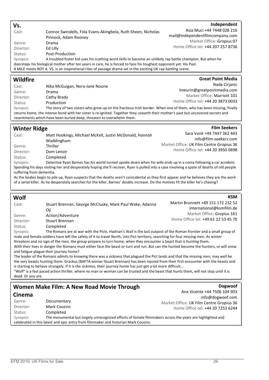#### Vs.

#### Independent

**Great Point Media** 

**Film Seekers** 

Asia Muci +44 7448 028 216 mail@independentfilmcompany.com Market Office: Gropius 07 Home Office tel: +44 207 257 8736

Genre: Drama Director: Ed Lilly Status: Post-Production

Synopsis: A troubled foster kid uses his scathing word skills to become an unlikely rap battle champion. But when he doorsteps his biological mother after ten years in care, he is forced to face his toughest opponent yet: His Past. 8 MILE meets BOY A. VS. is an inspirational rites of passage drama set in the exciting UK rap battling scene.

#### Wildfire

| Cast:     | Nika McGuigan, Nora-Jane Noone | Nada Cirjanic                                                                                                                     |
|-----------|--------------------------------|-----------------------------------------------------------------------------------------------------------------------------------|
| Genre:    | Drama                          | Imeurin@greatpointmedia.com                                                                                                       |
| Director: | Cathy Brady                    | Market Office: Marriott 101                                                                                                       |
| Status:   | Production                     | Home Office tel: +44 20 3873 0033                                                                                                 |
| Synopsis: |                                | The story of two sisters who grew up on the fractious Irish border. When one of them, who has been missing, finally               |
|           |                                | returns home, the intense bond with her sister is re-ignited. Together they unearth their mother's past but uncovered secrets and |

resentments which have been buried deep, threaten to overwhelm them.

Cast: Connor Swindells, Fola Evans-Akingbola, Ruth Sheen, Nicholas

Pinnock, Adam Rooney

#### Winter Ridge

| Cast:     | Matt Hookings, Michael McKell, Justin McDonald, Hannah                                                                                     | Sara Vonk +44 7447 362 443               |
|-----------|--------------------------------------------------------------------------------------------------------------------------------------------|------------------------------------------|
|           | Waddingham                                                                                                                                 | info@film-seekers.com                    |
| Genre:    | <b>Thriller</b>                                                                                                                            | Market Office: UK Film Centre Gropius 36 |
| Director: | Dom Lenoir                                                                                                                                 | Home Office tel: +44 20 3950 0698        |
| Status:   | Completed                                                                                                                                  |                                          |
| Synopsis: | Detective Ryan Barnes has his world turned upside down when his wife ends up in a coma following a car accident.                           |                                          |
|           | Spending his days visiting her and desperately hoping she'll recover, Ryan is pulled into a case involving a spate of deaths of old people |                                          |

#### suffering from dementia.

As the bodies begin to pile up, Ryan suspects that the deaths aren't coincidental as they first appear and he believes they are the work of a serial killer. As he desperately searches for the killer, Barnes' doubts increase. Do the motives fit the killer he's chasing?

#### Wolf Cast: Stuart Brennan, George McClusky, Mark Paul Wake, Adanna Oji Genre: Action/Adventure Director: Stuart Brennan Status: Completed **KSM** Martin Brunnett +49 151 172 232 52 international@ksmfilm.de Market Office: Gropius 161 Home Office tel: +49 61 22 53 45 70 Synopsis: The Romans are at war with the Picts. Hadrian's Wall is the last outpost of the Roman frontier and a small group of male and female soldiers have left the safety of it to travel North, into Pict territory, searching for four missing men. As winter threatens and no sign of the men, the group prepare to turn home, when they encounter a beast that is hunting them. With their lives in danger the Romans must either face the beast or turn and run. But can the hunted become the hunters, or will snow and fatigue plague their journey home? The leader of the Romans admits to knowing there was a sickness that plagued the Pict lands and that the missing men, may well be the very beasts hunting them. Grackus (BAFTA winner Stuart Brennan) has been injured from their first encounter with the beasts and

is starting to behave strangely. If it is the sickness, their journey home has just got a lot more difficult... "Wolf" is a fast paced action thriller, where no man or woman can be trusted and the beast that hunts them, will not stop until it is dead. Or you are.

#### Women Make Film: A New Road Movie Through Cinema

| <b>CHICHIO</b> |                                                                                     | info@dogwoof.com                                                                                          |
|----------------|-------------------------------------------------------------------------------------|-----------------------------------------------------------------------------------------------------------|
| Genre:         | Documentary                                                                         | Market Office: UK Film Centre Gropius 36                                                                  |
| Director:      | <b>Mark Cousins</b>                                                                 | Home Office tel: +44 20 7253 6244                                                                         |
| Status:        | Completed                                                                           |                                                                                                           |
| Synopsis:      |                                                                                     | The monumental but largely unrecognized efforts of female filmmakers across the years are highlighted and |
|                | celebrated in this latest and epic entry from filmmaker and historian Mark Cousins. |                                                                                                           |

**Dogwoof** 

Ana Vicente +44 7506 104 903